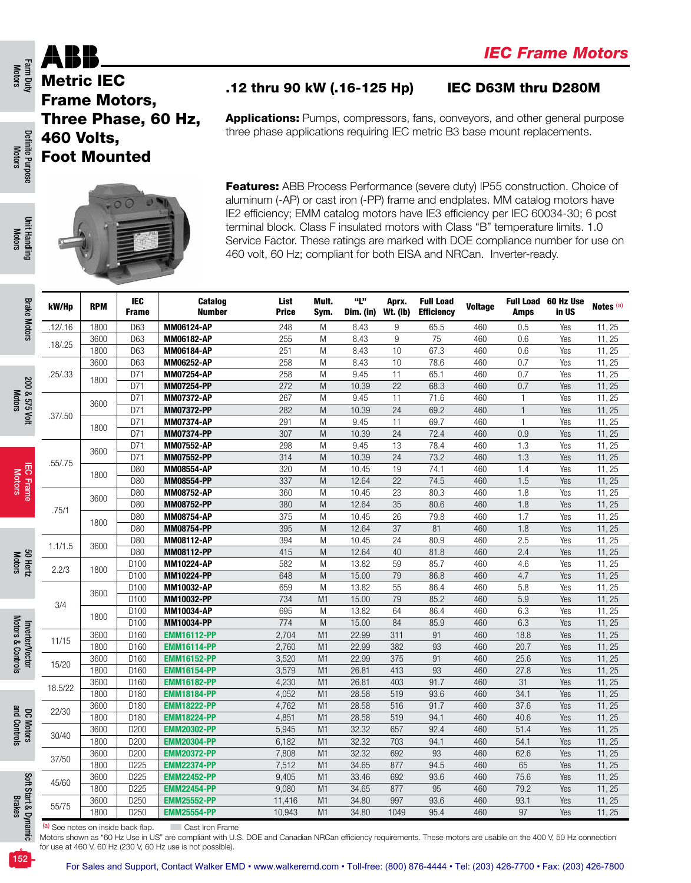Farm Duty<br>Motors

Motors

Motors

Motors

Motors & Controls

and Controls

Brakes



### .12 thru 90 kW (.16-125 Hp) IEC D63M thru D280M

|          | 460 Volts,<br><b>Foot Mounted</b> |                     | Three Phase, 60 Hz,                      |                                                                                                                                                                                                                                                                                                                                                                                                                                                                                                     |                      |                  |                          |                                       |                |                |                              |                      |  |  |
|----------|-----------------------------------|---------------------|------------------------------------------|-----------------------------------------------------------------------------------------------------------------------------------------------------------------------------------------------------------------------------------------------------------------------------------------------------------------------------------------------------------------------------------------------------------------------------------------------------------------------------------------------------|----------------------|------------------|--------------------------|---------------------------------------|----------------|----------------|------------------------------|----------------------|--|--|
|          |                                   |                     |                                          | <b>Applications:</b> Pumps, compressors, fans, conveyors, and other general purpose<br>three phase applications requiring IEC metric B3 base mount replacements.                                                                                                                                                                                                                                                                                                                                    |                      |                  |                          |                                       |                |                |                              |                      |  |  |
|          |                                   |                     |                                          | <b>Features:</b> ABB Process Performance (severe duty) IP55 construction. Choice of<br>aluminum (-AP) or cast iron (-PP) frame and endplates. MM catalog motors have<br>IE2 efficiency; EMM catalog motors have IE3 efficiency per IEC 60034-30; 6 post<br>terminal block. Class F insulated motors with Class "B" temperature limits. 1.0<br>Service Factor. These ratings are marked with DOE compliance number for use on<br>460 volt, 60 Hz; compliant for both EISA and NRCan. Inverter-ready. |                      |                  |                          |                                       |                |                |                              |                      |  |  |
| kW/Hp    | <b>RPM</b>                        | IEC<br><b>Frame</b> | Catalog<br>Number                        | List<br><b>Price</b>                                                                                                                                                                                                                                                                                                                                                                                                                                                                                | Mult.<br>Sym.        | "L"<br>Dim. (in) | Aprx.<br><b>Wt. (Ib)</b> | <b>Full Load</b><br><b>Efficiency</b> | <b>Voltage</b> | <b>Amps</b>    | Full Load 60 Hz Use<br>in US | Notes <sup>(a)</sup> |  |  |
| .12/.16  | 1800                              | D63                 | MM06124-AP                               | 248                                                                                                                                                                                                                                                                                                                                                                                                                                                                                                 | M                    | 8.43             | 9                        | 65.5                                  | 460            | 0.5            | Yes                          | 11, 25               |  |  |
| .18/.25  | 3600                              | D63                 | <b>MM06182-AP</b>                        | 255                                                                                                                                                                                                                                                                                                                                                                                                                                                                                                 | M                    | 8.43             | 9                        | 75                                    | 460            | 0.6            | Yes                          | 11, 25               |  |  |
|          | 1800                              | D63                 | <b>MM06184-AP</b>                        | 251                                                                                                                                                                                                                                                                                                                                                                                                                                                                                                 | M                    | 8.43             | 10                       | 67.3                                  | 460            | 0.6            | Yes                          | 11, 25               |  |  |
|          | 3600                              | D63                 | MM06252-AP                               | 258                                                                                                                                                                                                                                                                                                                                                                                                                                                                                                 | M                    | 8.43<br>9.45     | 10<br>11                 | 78.6<br>65.1                          | 460            | 0.7            | Yes                          | 11, 25               |  |  |
| .25/.33  | 1800                              | D71<br>D71          | <b>MM07254-AP</b><br><b>MM07254-PP</b>   | 258<br>272                                                                                                                                                                                                                                                                                                                                                                                                                                                                                          | M<br>M               | 10.39            | 22                       | 68.3                                  | 460<br>460     | 0.7<br>0.7     | Yes<br>Yes                   | 11, 25<br>11, 25     |  |  |
|          |                                   | D71                 | <b>MM07372-AP</b>                        | 267                                                                                                                                                                                                                                                                                                                                                                                                                                                                                                 | M                    | 9.45             | 11                       | 71.6                                  | 460            | $\mathbf{1}$   | Yes                          | 11, 25               |  |  |
|          | 3600                              | D71                 | MM07372-PP                               | 282                                                                                                                                                                                                                                                                                                                                                                                                                                                                                                 | M                    | 10.39            | 24                       | 69.2                                  | 460            | $\overline{1}$ | Yes                          | 11, 25               |  |  |
| .37/0.50 |                                   | D71                 | <b>MM07374-AP</b>                        | 291                                                                                                                                                                                                                                                                                                                                                                                                                                                                                                 | M                    | 9.45             | 11                       | 69.7                                  | 460            | $\overline{1}$ | Yes                          | 11, 25               |  |  |
|          | 1800                              | D71                 | <b>MM07374-PP</b>                        | 307                                                                                                                                                                                                                                                                                                                                                                                                                                                                                                 | M                    | 10.39            | 24                       | 72.4                                  | 460            | 0.9            | Yes                          | 11, 25               |  |  |
|          | 3600                              | D71                 | MM07552-AP                               | 298                                                                                                                                                                                                                                                                                                                                                                                                                                                                                                 | M                    | 9.45             | 13                       | 78.4                                  | 460            | 1.3            | Yes                          | 11, 25               |  |  |
| .55/.75  |                                   | D71                 | MM07552-PP                               | 314                                                                                                                                                                                                                                                                                                                                                                                                                                                                                                 | M                    | 10.39            | 24                       | 73.2                                  | 460            | 1.3            | Yes                          | 11, 25               |  |  |
|          | 1800                              | D80                 | MM08554-AP                               | 320                                                                                                                                                                                                                                                                                                                                                                                                                                                                                                 | M                    | 10.45            | 19                       | 74.1                                  | 460            | 1.4            | Yes                          | 11, 25               |  |  |
|          |                                   | D80                 | MM08554-PP                               | 337                                                                                                                                                                                                                                                                                                                                                                                                                                                                                                 | M                    | 12.64            | 22                       | 74.5                                  | 460            | 1.5            | Yes                          | 11, 25               |  |  |
|          | 3600                              | D80                 | MM08752-AP                               | 360                                                                                                                                                                                                                                                                                                                                                                                                                                                                                                 | M                    | 10.45            | 23                       | 80.3                                  | 460            | 1.8            | Yes                          | 11, 25               |  |  |
| .75/1    |                                   | D80                 | MM08752-PP                               | 380                                                                                                                                                                                                                                                                                                                                                                                                                                                                                                 | M                    | 12.64            | 35                       | 80.6                                  | 460            | 1.8            | Yes                          | 11, 25               |  |  |
|          | 1800                              | D80<br>D80          | MM08754-AP                               | 375                                                                                                                                                                                                                                                                                                                                                                                                                                                                                                 | M                    | 10.45            | 26<br>37                 | 79.8<br>81                            | 460            | 1.7            | Yes                          | 11, 25               |  |  |
|          |                                   | D80                 | MM08754-PP<br>MM08112-AP                 | 395<br>394                                                                                                                                                                                                                                                                                                                                                                                                                                                                                          | M<br>M               | 12.64<br>10.45   | 24                       | 80.9                                  | 460<br>460     | 1.8<br>2.5     | Yes<br>Yes                   | 11, 25<br>11, 25     |  |  |
| 1.1/1.5  | 3600                              | D80                 | MM08112-PP                               | 415                                                                                                                                                                                                                                                                                                                                                                                                                                                                                                 | M                    | 12.64            | 40                       | 81.8                                  | 460            | 2.4            | Yes                          | 11, 25               |  |  |
|          |                                   | D100                | MM10224-AP                               | 582                                                                                                                                                                                                                                                                                                                                                                                                                                                                                                 | M                    | 13.82            | 59                       | 85.7                                  | 460            | 4.6            | Yes                          | 11, 25               |  |  |
| 2.2/3    | 1800                              | D100                | MM10224-PP                               | 648                                                                                                                                                                                                                                                                                                                                                                                                                                                                                                 | M                    | 15.00            | 79                       | 86.8                                  | 460            | 4.7            | Yes                          | 11, 25               |  |  |
|          |                                   | D100                | MM10032-AP                               | 659                                                                                                                                                                                                                                                                                                                                                                                                                                                                                                 | M                    | 13.82            | 55                       | 86.4                                  | 460            | 5.8            | Yes                          | 11, 25               |  |  |
|          | 3600                              | D100                | MM10032-PP                               | 734                                                                                                                                                                                                                                                                                                                                                                                                                                                                                                 | M <sub>1</sub>       | 15.00            | 79                       | 85.2                                  | 460            | 5.9            | Yes                          | 11, 25               |  |  |
| 3/4      | 1800                              | D100                | MM10034-AP                               | 695                                                                                                                                                                                                                                                                                                                                                                                                                                                                                                 | M                    | 13.82            | 64                       | 86.4                                  | 460            | 6.3            | Yes                          | 11, 25               |  |  |
|          |                                   | D100                | MM10034-PP                               | 774                                                                                                                                                                                                                                                                                                                                                                                                                                                                                                 | M                    | 15.00            | 84                       | 85.9                                  | 460            | 6.3            | Yes                          | 11, 25               |  |  |
| 11/15    | 3600                              | D160                | <b>EMM16112-PP</b>                       | 2,704                                                                                                                                                                                                                                                                                                                                                                                                                                                                                               | M <sub>1</sub>       | 22.99            | 311                      | 91                                    | 460            | 18.8           | Yes                          | 11, 25               |  |  |
|          | 1800                              | D160                | <b>EMM16114-PP</b>                       | 2,760                                                                                                                                                                                                                                                                                                                                                                                                                                                                                               | M <sub>1</sub>       | 22.99            | 382                      | 93                                    | 460            | 20.7           | Yes                          | 11, 25               |  |  |
| 15/20    | 3600                              | D160                | <b>EMM16152-PP</b>                       | 3,520                                                                                                                                                                                                                                                                                                                                                                                                                                                                                               | M <sub>1</sub>       | 22.99            | 375                      | 91                                    | 460            | 25.6           | Yes                          | 11, 25               |  |  |
|          | 1800                              | D160                | <b>EMM16154-PP</b>                       | 3,579                                                                                                                                                                                                                                                                                                                                                                                                                                                                                               | M <sub>1</sub>       | 26.81            | 413                      | 93                                    | 460            | 27.8           | Yes                          | 11, 25               |  |  |
| 18.5/22  | 3600                              | D160                | <b>EMM16182-PP</b>                       | 4,230                                                                                                                                                                                                                                                                                                                                                                                                                                                                                               | M <sub>1</sub>       | 26.81            | 403                      | 91.7                                  | 460            | 31             | Yes                          | 11, 25               |  |  |
|          | 1800<br>3600                      | D180<br>D180        | <b>EMM18184-PP</b><br><b>EMM18222-PP</b> | 4,052<br>4,762                                                                                                                                                                                                                                                                                                                                                                                                                                                                                      | M1<br>M <sub>1</sub> | 28.58<br>28.58   | 519<br>516               | 93.6<br>91.7                          | 460<br>460     | 34.1<br>37.6   | Yes<br>Yes                   | 11, 25<br>11, 25     |  |  |
| 22/30    | 1800                              | D180                | <b>EMM18224-PP</b>                       | 4,851                                                                                                                                                                                                                                                                                                                                                                                                                                                                                               | M <sub>1</sub>       | 28.58            | 519                      | 94.1                                  | 460            | 40.6           | Yes                          | 11, 25               |  |  |
|          | 3600                              | D200                | <b>EMM20302-PP</b>                       | 5,945                                                                                                                                                                                                                                                                                                                                                                                                                                                                                               | M <sub>1</sub>       | 32.32            | 657                      | 92.4                                  | 460            | 51.4           | Yes                          | 11, 25               |  |  |
| 30/40    | 1800                              | D200                | <b>EMM20304-PP</b>                       | 6,182                                                                                                                                                                                                                                                                                                                                                                                                                                                                                               | M1                   | 32.32            | 703                      | 94.1                                  | 460            | 54.1           | Yes                          | 11, 25               |  |  |
|          | 3600                              | D200                | <b>EMM20372-PP</b>                       | 7,808                                                                                                                                                                                                                                                                                                                                                                                                                                                                                               | M <sub>1</sub>       | 32.32            | 692                      | 93                                    | 460            | 62.6           | Yes                          | 11, 25               |  |  |
|          | 1800                              | D225                | <b>EMM22374-PP</b>                       | 7,512                                                                                                                                                                                                                                                                                                                                                                                                                                                                                               | M1                   | 34.65            | 877                      | 94.5                                  | 460            | 65             | Yes                          | 11, 25               |  |  |
| 37/50    | 3600                              | D225                | <b>EMM22452-PP</b>                       | 9,405                                                                                                                                                                                                                                                                                                                                                                                                                                                                                               | M <sub>1</sub>       | 33.46            | 692                      | 93.6                                  | 460            | 75.6           | Yes                          | 11, 25               |  |  |
|          |                                   |                     |                                          | 9,080                                                                                                                                                                                                                                                                                                                                                                                                                                                                                               | M1                   | 34.65            | 877                      | 95                                    | 460            | 79.2           | Yes                          | 11, 25               |  |  |
| 45/60    | 1800                              | D225                | <b>EMM22454-PP</b>                       |                                                                                                                                                                                                                                                                                                                                                                                                                                                                                                     |                      |                  |                          |                                       |                |                |                              |                      |  |  |
| 55/75    | 3600                              | D250                | <b>EMM25552-PP</b>                       | 11,416                                                                                                                                                                                                                                                                                                                                                                                                                                                                                              | M <sub>1</sub>       | 34.80            | 997                      | 93.6                                  | 460            | 93.1           | Yes                          | 11, 25               |  |  |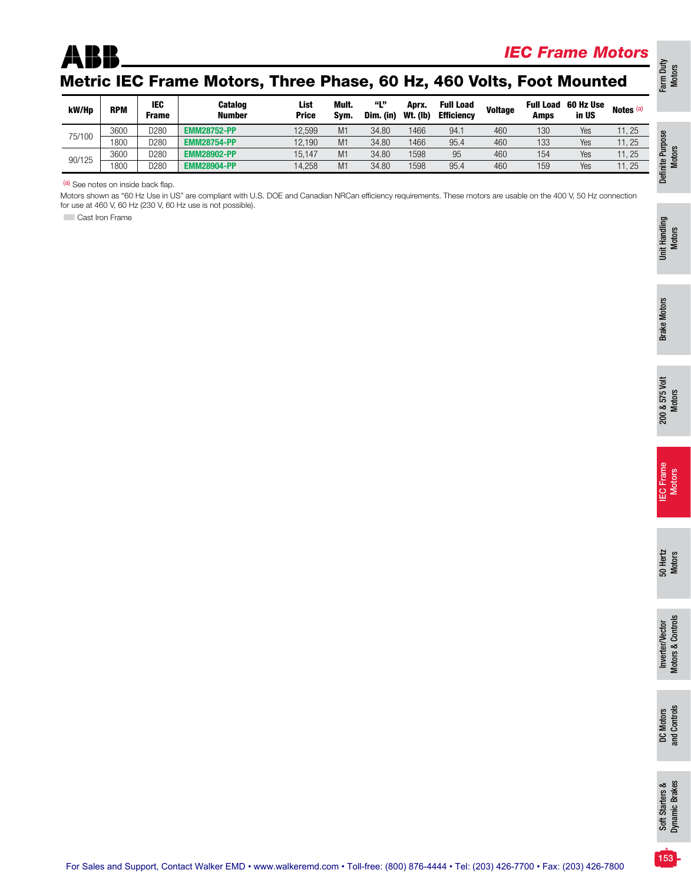

### *IEC Frame Motors*

## Metric IEC Frame Motors, Three Phase, 60 Hz, 460 Volts, Foot Mounted

| kW/Hp  | <b>RPM</b> | IEC<br><b>Frame</b> | <b>Catalog</b><br><b>Number</b> | List<br><b>Price</b> | Mult.<br>Svm.  | 661.99<br>Dim. (in) | Aprx.<br><b>Wt. (Ib)</b> | <b>Full Load</b><br><b>Efficiency</b> | <b>Voltage</b> | <b>Full Load</b><br>Amps | 60 Hz Use<br>in US | Notes <sup>(a)</sup> |
|--------|------------|---------------------|---------------------------------|----------------------|----------------|---------------------|--------------------------|---------------------------------------|----------------|--------------------------|--------------------|----------------------|
| 75/100 | 3600       | D <sub>280</sub>    | <b>EMM28752-PP</b>              | 12,599               | M1             | 34.80               | 1466                     | 94.1                                  | 460            | 130                      | Yes                | 11, 25               |
|        | 1800       | D <sub>280</sub>    | <b>EMM28754-PP</b>              | 12.190               | M1             | 34.80               | 1466                     | 95.4                                  | 460            | 133                      | Yes                | 11, 25               |
|        | 3600       | D280                | <b>EMM28902-PP</b>              | 15.147               | M1             | 34.80               | 1598                     | 95                                    | 460            | 154                      | Yes                | 11, 25               |
| 90/125 | 1800       | D <sub>280</sub>    | <b>EMM28904-PP</b>              | 14.258               | M <sub>1</sub> | 34.80               | 1598                     | 95.4                                  | 460            | 159                      | Yes                | 11, 25               |

(a) See notes on inside back flap.

Motors shown as "60 Hz Use in US" are compliant with U.S. DOE and Canadian NRCan efficiency requirements. These motors are usable on the 400 V, 50 Hz connection for use at 460 V, 60 Hz (230 V, 60 Hz use is not possible).

**Cast Iron Frame** 

Farm Duty Motors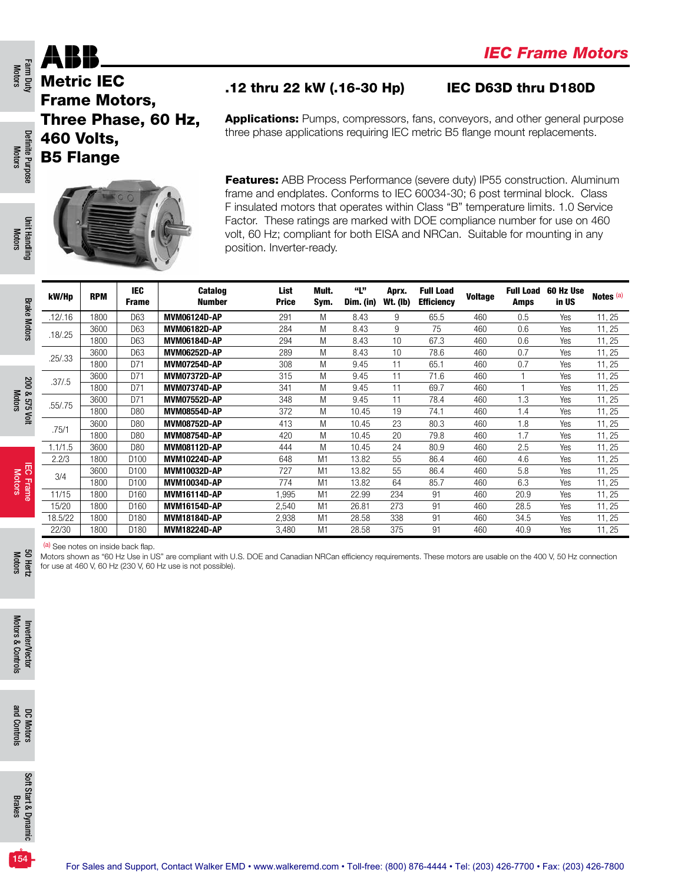

Metric IEC Frame Motors, Three Phase, 60 Hz, 460 Volts, B5 Flange



### .12 thru 22 kW (.16-30 Hp) IEC D63D thru D180D

Applications: Pumps, compressors, fans, conveyors, and other general purpose three phase applications requiring IEC metric B5 flange mount replacements.

Features: ABB Process Performance (severe duty) IP55 construction. Aluminum frame and endplates. Conforms to IEC 60034-30; 6 post terminal block. Class F insulated motors that operates within Class "B" temperature limits. 1.0 Service Factor. These ratings are marked with DOE compliance number for use on 460 volt, 60 Hz; compliant for both EISA and NRCan. Suitable for mounting in any position. Inverter-ready.

| kW/Hp    | <b>RPM</b> | <b>IEC</b><br><b>Frame</b> | <b>Catalog</b><br><b>Number</b> | List<br><b>Price</b> | Mult.<br>Sym.  | "L"<br>Dim. (in) | Aprx.<br><b>Wt. (lb)</b> | <b>Full Load</b><br><b>Efficiency</b> | <b>Voltage</b> | <b>Full Load</b><br>Amps | 60 Hz Use<br>in US | Notes <sup>(a)</sup> |
|----------|------------|----------------------------|---------------------------------|----------------------|----------------|------------------|--------------------------|---------------------------------------|----------------|--------------------------|--------------------|----------------------|
| .12/.16  | 1800       | D63                        | <b>MVM06124D-AP</b>             | 291                  | M              | 8.43             | 9                        | 65.5                                  | 460            | 0.5                      | Yes                | 11, 25               |
| .18/0.25 | 3600       | D63                        | MVM06182D-AP                    | 284                  | M              | 8.43             | 9                        | 75                                    | 460            | 0.6                      | Yes                | 11, 25               |
|          | 1800       | D63                        | MVM06184D-AP                    | 294                  | M              | 8.43             | 10                       | 67.3                                  | 460            | 0.6                      | Yes                | 11, 25               |
| .25/.33  | 3600       | D63                        | MVM06252D-AP                    | 289                  | M              | 8.43             | 10                       | 78.6                                  | 460            | 0.7                      | Yes                | 11, 25               |
|          | 1800       | D71                        | MVM07254D-AP                    | 308                  | M              | 9.45             | 11                       | 65.1                                  | 460            | 0.7                      | Yes                | 11, 25               |
| .37/.5   | 3600       | D71                        | <b>MVM07372D-AP</b>             | 315                  | M              | 9.45             | 11                       | 71.6                                  | 460            |                          | Yes                | 11, 25               |
|          | 1800       | D71                        | MVM07374D-AP                    | 341                  | M              | 9.45             | 11                       | 69.7                                  | 460            |                          | Yes                | 11, 25               |
| .55/.75  | 3600       | D71                        | MVM07552D-AP                    | 348                  | M              | 9.45             | 11                       | 78.4                                  | 460            | 1.3                      | Yes                | 11, 25               |
|          | 1800       | D80                        | MVM08554D-AP                    | 372                  | M              | 10.45            | 19                       | 74.1                                  | 460            | 1.4                      | Yes                | 11, 25               |
| .75/1    | 3600       | D80                        | MVM08752D-AP                    | 413                  | M              | 10.45            | 23                       | 80.3                                  | 460            | 1.8                      | Yes                | 11, 25               |
|          | 1800       | D80                        | <b>MVM08754D-AP</b>             | 420                  | M              | 10.45            | 20                       | 79.8                                  | 460            | 1.7                      | Yes                | 11, 25               |
| 1.1/1.5  | 3600       | D80                        | MVM08112D-AP                    | 444                  | M              | 10.45            | 24                       | 80.9                                  | 460            | 2.5                      | Yes                | 11, 25               |
| 2.2/3    | 1800       | D <sub>100</sub>           | <b>MVM10224D-AP</b>             | 648                  | M <sub>1</sub> | 13.82            | 55                       | 86.4                                  | 460            | 4.6                      | Yes                | 11, 25               |
| 3/4      | 3600       | D <sub>100</sub>           | MVM10032D-AP                    | 727                  | M <sub>1</sub> | 13.82            | 55                       | 86.4                                  | 460            | 5.8                      | Yes                | 11, 25               |
|          | 1800       | D <sub>100</sub>           | MVM10034D-AP                    | 774                  | M <sub>1</sub> | 13.82            | 64                       | 85.7                                  | 460            | 6.3                      | Yes                | 11, 25               |
| 11/15    | 1800       | D <sub>160</sub>           | <b>MVM16114D-AP</b>             | 1.995                | M <sub>1</sub> | 22.99            | 234                      | 91                                    | 460            | 20.9                     | Yes                | 11, 25               |
| 15/20    | 1800       | D <sub>160</sub>           | <b>MVM16154D-AP</b>             | 2,540                | M <sub>1</sub> | 26.81            | 273                      | 91                                    | 460            | 28.5                     | Yes                | 11, 25               |
| 18.5/22  | 1800       | D <sub>180</sub>           | <b>MVM18184D-AP</b>             | 2,938                | M <sub>1</sub> | 28.58            | 338                      | 91                                    | 460            | 34.5                     | Yes                | 11, 25               |
| 22/30    | 1800       | D <sub>180</sub>           | <b>MVM18224D-AP</b>             | 3,480                | M <sub>1</sub> | 28.58            | 375                      | 91                                    | 460            | 40.9                     | Yes                | 11, 25               |

(a) See notes on inside back flap.

Motors shown as "60 Hz Use in US" are compliant with U.S. DOE and Canadian NRCan efficiency requirements. These motors are usable on the 400 V, 50 Hz connection for use at 460 V, 60 Hz (230 V, 60 Hz use is not possible).

Farm Duty<br>Motors

Motors 50 Hertz

> Inverter/Vector Motors & Controls

Motors & Controls Inverter/Vector

> DC Motors and Controls

and Controls

Soft Start & Dynamic Brakes

Soft Start & Dynamic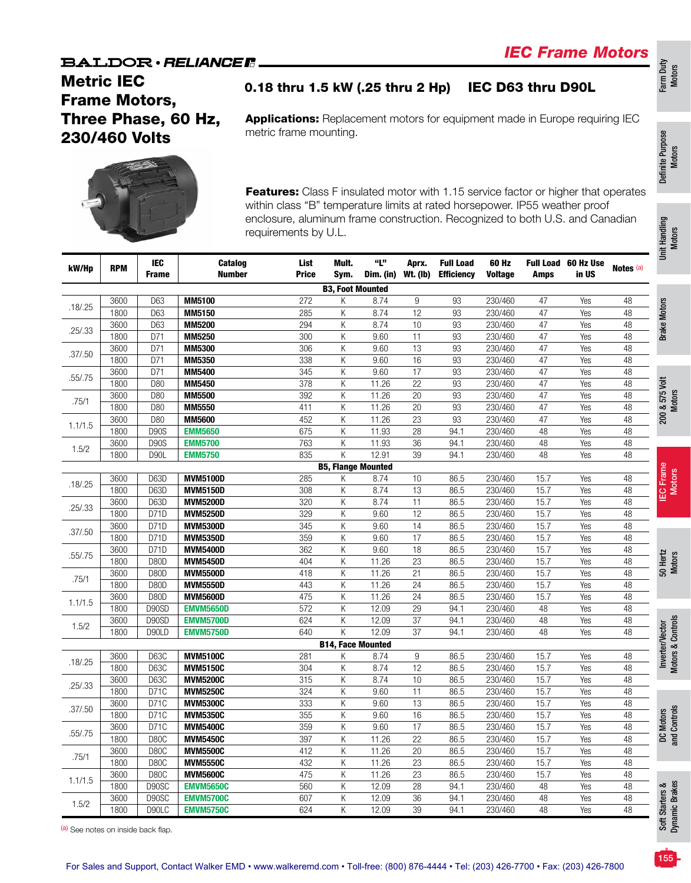### Metric IEC Frame Motors, Three Phase, 60 Hz, 230/460 Volts

0.18 thru 1.5 kW (.25 thru 2 Hp) IEC D63 thru D90L

Applications: Replacement motors for equipment made in Europe requiring IEC metric frame mounting.



Features: Class F insulated motor with 1.15 service factor or higher that operates within class "B" temperature limits at rated horsepower. IP55 weather proof enclosure, aluminum frame construction. Recognized to both U.S. and Canadian requirements by U.L.

| kW/Hp     | <b>RPM</b>   | IEC<br><b>Frame</b> | <b>Catalog</b><br><b>Number</b>    | List<br><b>Price</b> | Mult.<br>Sym.            | "L"<br>Dim. (in)          | Aprx.<br><b>Wt. (lb)</b> | <b>Full Load</b><br><b>Efficiency</b> | 60 Hz<br><b>Voltage</b> | Amps         | <b>Full Load 60 Hz Use</b><br>in US | Notes (a)                          | Ŝ                                    |
|-----------|--------------|---------------------|------------------------------------|----------------------|--------------------------|---------------------------|--------------------------|---------------------------------------|-------------------------|--------------|-------------------------------------|------------------------------------|--------------------------------------|
|           |              |                     |                                    |                      | <b>B3, Foot Mounted</b>  |                           |                          |                                       |                         |              |                                     |                                    |                                      |
|           | 3600         | D63                 | <b>MM5100</b>                      | 272                  | K                        | 8.74                      | 9                        | 93                                    | 230/460                 | 47           | Yes                                 | 48                                 |                                      |
| .18 / .25 | 1800         | D63                 | MM5150                             | 285                  | Κ                        | 8.74                      | 12                       | 93                                    | 230/460                 | 47           | Yes                                 | 48                                 | <b>Brake Motors</b>                  |
| .25/.33   | 3600         | D63                 | <b>MM5200</b>                      | 294                  | Κ                        | 8.74                      | 10                       | 93                                    | 230/460                 | 47           | Yes                                 | 48                                 |                                      |
|           | 1800         | D71                 | <b>MM5250</b>                      | $\overline{300}$     | Κ                        | 9.60                      | 11                       | 93                                    | 230/460                 | 47           | Yes                                 | 48                                 |                                      |
| .37/.50   | 3600         | D71                 | <b>MM5300</b>                      | 306                  | Κ                        | 9.60                      | 13                       | 93                                    | 230/460                 | 47           | Yes                                 | 48                                 |                                      |
|           | 1800         | D71                 | MM5350                             | 338                  | Κ                        | 9.60                      | 16                       | 93                                    | 230/460                 | 47           | Yes                                 | 48                                 |                                      |
| .55/.75   | 3600         | D71                 | MM5400                             | 345                  | Κ                        | 9.60                      | 17                       | 93                                    | 230/460                 | 47           | Yes                                 | 48                                 |                                      |
|           | 1800         | D80                 | <b>MM5450</b>                      | 378                  | Κ                        | 11.26                     | $\overline{22}$          | $\overline{93}$                       | 230/460                 | 47           | Yes                                 | 48                                 | 200 & 575 Volt                       |
| .75/1     | 3600         | D80                 | <b>MM5500</b>                      | 392                  | Κ                        | 11.26                     | 20                       | 93                                    | 230/460                 | 47           | Yes                                 | 48                                 |                                      |
|           | 1800         | D80                 | <b>MM5550</b>                      | 411                  | Κ                        | 11.26                     | 20                       | 93                                    | 230/460                 | 47           | Yes                                 | 48                                 |                                      |
| 1.1/1.5   | 3600         | D80                 | <b>MM5600</b>                      | 452                  | Κ                        | 11.26                     | $\overline{23}$          | 93                                    | 230/460                 | 47           | Yes                                 | 48                                 |                                      |
|           | 1800         | <b>D90S</b>         | <b>EMM5650</b>                     | 675                  | K                        | 11.93                     | 28                       | 94.1                                  | 230/460                 | 48           | Yes                                 | $\overline{48}$                    |                                      |
| 1.5/2     | 3600         | <b>D90S</b>         | <b>EMM5700</b>                     | 763                  | K                        | 11.93                     | 36                       | 94.1                                  | 230/460                 | 48           | Yes                                 | $\overline{48}$                    |                                      |
|           | 1800         | <b>D90L</b>         | <b>EMM5750</b>                     | 835                  | K                        | 12.91                     | 39                       | 94.1                                  | 230/460                 | 48           | Yes                                 | $\overline{48}$                    |                                      |
|           |              |                     |                                    |                      |                          | <b>B5, Flange Mounted</b> |                          |                                       |                         |              |                                     |                                    | IEC Frame<br>Motors                  |
| .18 / .25 | 3600         | D63D                | <b>MVM5100D</b>                    | 285                  | Κ                        | 8.74                      | 10                       | 86.5                                  | 230/460                 | 15.7         | Yes                                 | 48                                 |                                      |
|           | 1800         | D63D                | <b>MVM5150D</b>                    | 308                  | K                        | 8.74                      | 13                       | 86.5                                  | 230/460                 | 15.7         | Yes                                 | 48                                 |                                      |
| .25/.33   | 3600         | D63D                | <b>MVM5200D</b>                    | 320                  | Κ                        | 8.74                      | 11                       | 86.5                                  | 230/460                 | 15.7         | Yes                                 | 48                                 |                                      |
|           | 1800         | D71D                | <b>MVM5250D</b>                    | 329                  | Κ                        | 9.60                      | 12                       | 86.5                                  | 230/460                 | 15.7         | Yes                                 | 48                                 |                                      |
| .37/.50   | 3600         | D71D                | <b>MVM5300D</b>                    | 345                  | Κ                        | 9.60                      | 14                       | 86.5                                  | 230/460                 | 15.7         | Yes                                 | 48                                 |                                      |
|           | 1800         | D71D                | <b>MVM5350D</b>                    | 359                  | Κ                        | 9.60                      | 17                       | 86.5                                  | 230/460                 | 15.7         | Yes                                 | 48                                 |                                      |
| .55/.75   | 3600         | D71D                | <b>MVM5400D</b>                    | 362                  | Κ                        | 9.60                      | 18<br>$\overline{23}$    | 86.5<br>86.5                          | 230/460<br>230/460      | 15.7<br>15.7 | Yes                                 | $\overline{48}$<br>$\overline{48}$ |                                      |
|           | 1800<br>3600 | D80D<br><b>D80D</b> | <b>MVM5450D</b><br><b>MVM5500D</b> | 404<br>418           | Κ<br>K                   | 11.26<br>11.26            | 21                       | 86.5                                  | 230/460                 | 15.7         | Yes<br>Yes                          | 48                                 | 50 Hertz<br>Motors                   |
| .75/1     |              | <b>D80D</b>         | <b>MVM5550D</b>                    |                      |                          |                           | 24                       |                                       | 230/460                 |              | Yes                                 | $\overline{48}$                    |                                      |
|           | 1800<br>3600 | D80D                | <b>MVM5600D</b>                    | 443<br>475           | Κ<br>Κ                   | 11.26<br>11.26            | $\overline{24}$          | 86.5<br>86.5                          | 230/460                 | 15.7<br>15.7 | Yes                                 | $\overline{48}$                    |                                      |
| 1.1/1.5   | 1800         | D90SD               | <b>EMVM5650D</b>                   | 572                  | K                        | 12.09                     | $\overline{29}$          | 94.1                                  | 230/460                 | 48           | Yes                                 | 48                                 |                                      |
|           | 3600         | D90SD               | <b>EMVM5700D</b>                   | 624                  | K                        | 12.09                     | 37                       | 94.1                                  | 230/460                 | 48           | Yes                                 | 48                                 |                                      |
| 1.5/2     | 1800         | D90LD               | <b>EMVM5750D</b>                   | 640                  | K                        | 12.09                     | 37                       | 94.1                                  | 230/460                 | 48           | Yes                                 | 48                                 |                                      |
|           |              |                     |                                    |                      | <b>B14, Face Mounted</b> |                           |                          |                                       |                         |              |                                     |                                    | Inverter/Vector<br>Motors & Controls |
|           | 3600         | <b>D63C</b>         | <b>MVM5100C</b>                    | 281                  | Κ                        | 8.74                      | 9                        | 86.5                                  | 230/460                 | 15.7         | Yes                                 | 48                                 |                                      |
| .18 / .25 | 1800         | <b>D63C</b>         | <b>MVM5150C</b>                    | 304                  | Κ                        | 8.74                      | 12                       | 86.5                                  | 230/460                 | 15.7         | Yes                                 | 48                                 |                                      |
|           | 3600         | D63C                | <b>MVM5200C</b>                    | 315                  | Κ                        | 8.74                      | 10                       | 86.5                                  | 230/460                 | 15.7         | Yes                                 | $\overline{48}$                    |                                      |
| .25/.33   | 1800         | D71C                | <b>MVM5250C</b>                    | 324                  | Κ                        | 9.60                      | 11                       | 86.5                                  | 230/460                 | 15.7         | Yes                                 | 48                                 |                                      |
|           | 3600         | D71C                | <b>MVM5300C</b>                    | 333                  | Κ                        | 9.60                      | 13                       | 86.5                                  | 230/460                 | 15.7         | Yes                                 | 48                                 |                                      |
| .37/.50   | 1800         | D71C                | <b>MVM5350C</b>                    | 355                  | Κ                        | 9.60                      | 16                       | 86.5                                  | 230/460                 | 15.7         | Yes                                 | $\overline{48}$                    |                                      |
|           | 3600         | D71C                | <b>MVM5400C</b>                    | 359                  | Κ                        | 9.60                      | 17                       | 86.5                                  | 230/460                 | 15.7         | Yes                                 | $\overline{48}$                    |                                      |
| .55/.75   | 1800         | <b>D80C</b>         | <b>MVM5450C</b>                    | 397                  | K                        | 11.26                     | 22                       | 86.5                                  | 230/460                 | 15.7         | Yes                                 | $\overline{48}$                    | DC Motors<br>and Controls            |
|           | 3600         | <b>D80C</b>         | <b>MVM5500C</b>                    | 412                  | K                        | 11.26                     | 20                       | 86.5                                  | 230/460                 | 15.7         | Yes                                 | 48                                 |                                      |
| .75/1     | 1800         | <b>D80C</b>         | <b>MVM5550C</b>                    | 432                  | K                        | 11.26                     | 23                       | 86.5                                  | 230/460                 | 15.7         | Yes                                 | $\overline{48}$                    |                                      |
|           | 3600         | <b>D80C</b>         | <b>MVM5600C</b>                    | 475                  | Κ                        | 11.26                     | 23                       | 86.5                                  | 230/460                 | 15.7         | Yes                                 | 48                                 |                                      |
| 1.1/1.5   | 1800         | D90SC               | <b>EMVM5650C</b>                   | 560                  | Κ                        | 12.09                     | 28                       | 94.1                                  | 230/460                 | 48           | Yes                                 | 48                                 | Starters &<br>mic Brakes             |
|           | 3600         | D90SC               | <b>EMVM5700C</b>                   | 607                  | K                        | 12.09                     | 36                       | 94.1                                  | 230/460                 | 48           | Yes                                 | 48                                 |                                      |
| 1.5/2     | 1800         | D90LC               | <b>EMVM5750C</b>                   | 624                  | K                        | 12.09                     | 39                       | 94.1                                  | 230/460                 | 48           | Yes                                 | 48                                 |                                      |

(a) See notes on inside back flap.

Unit Handling<br>Motors

Unit Handling

Farm Duty Motors

Definite Purpose Definite Purpose<br>Motors

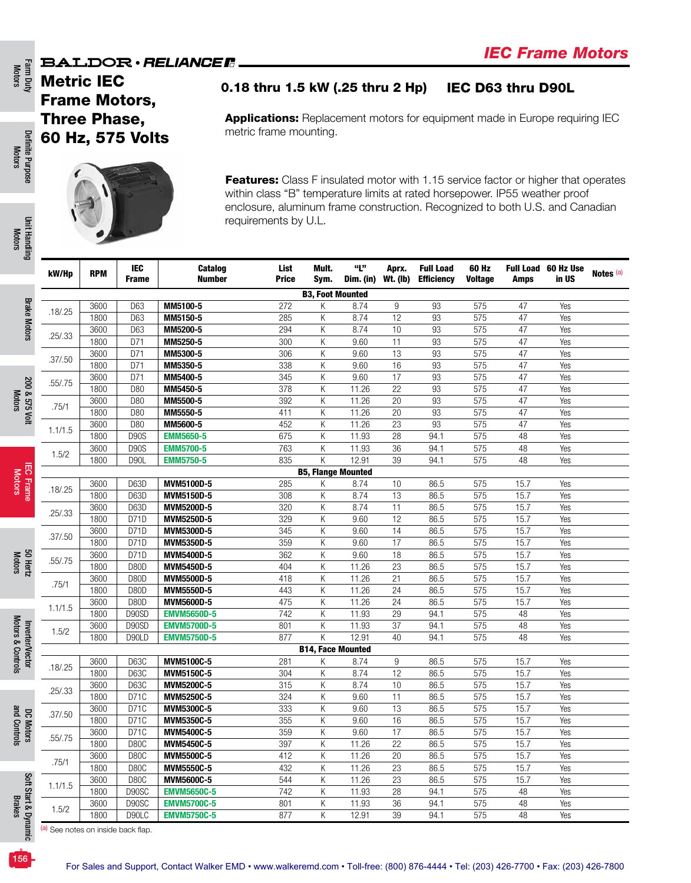Metric IEC Frame Motors, Three Phase, 60 Hz, 575 Volts

Definite Purpose Definite Purpose Motors

Farm Duty<br>Motors

Farm Duty Definite Purpose Unit Handling Brake Motors 200 & 575 Volt IEC Frame SO Hertz to Shertz Hoverter/Vector<br>Motors Motors Motors Motors Motors Motors Motors Motors Motors Motors Motors Motors And and Controls Brakes Unit Handlir Unit Handling Motors

**Brake Motors** Brake Motors

### 0.18 thru 1.5 kW (.25 thru 2 Hp) IEC D63 thru D90L

Applications: Replacement motors for equipment made in Europe requiring IEC metric frame mounting.



Features: Class F insulated motor with 1.15 service factor or higher that operates within class "B" temperature limits at rated horsepower. IP55 weather proof enclosure, aluminum frame construction. Recognized to both U.S. and Canadian requirements by U.L.

| 0                   | kW/Hp     | <b>RPM</b>   | <b>IEC</b><br><b>Frame</b> | Catalog<br><b>Number</b> | List<br><b>Price</b>    | Mult.<br>Sym.             | "L"<br>Dim. (in) Wt. (lb) | Aprx.                 | <b>Full Load</b><br><b>Efficiency</b> | 60 Hz<br><b>Voltage</b> | Amps         | Full Load 60 Hz Use<br>in US | Notes (a) |
|---------------------|-----------|--------------|----------------------------|--------------------------|-------------------------|---------------------------|---------------------------|-----------------------|---------------------------------------|-------------------------|--------------|------------------------------|-----------|
|                     |           |              |                            |                          |                         | <b>B3, Foot Mounted</b>   |                           |                       |                                       |                         |              |                              |           |
| <b>Brake Motors</b> | .18 / .25 | 3600         | D63                        | MM5100-5                 | 272                     | Κ                         | 8.74                      | 9                     | 93                                    | 575                     | 47           | Yes                          |           |
|                     |           | 1800         | D63                        | MM5150-5                 | 285                     | Κ                         | 8.74                      | 12                    | 93                                    | 575                     | 47           | Yes                          |           |
|                     | .25/.33   | 3600         | D63                        | MM5200-5                 | 294                     | Κ                         | 8.74                      | 10                    | 93                                    | 575                     | 47           | Yes                          |           |
|                     |           | 1800         | D71                        | MM5250-5                 | 300                     | Κ                         | 9.60                      | 11                    | 93                                    | 575                     | 47           | Yes                          |           |
|                     | .37/.50   | 3600         | D71                        | MM5300-5                 | 306                     | Κ                         | 9.60                      | 13                    | $\overline{93}$                       | 575                     | 47           | Yes                          |           |
|                     |           | 1800<br>3600 | D71<br>D71                 | MM5350-5<br>MM5400-5     | 338<br>345              | Κ<br>Κ                    | 9.60<br>9.60              | 16<br>$\overline{17}$ | 93<br>$\overline{93}$                 | 575<br>575              | 47<br>47     | Yes<br>Yes                   |           |
|                     | .55/.75   | 1800         | D80                        | MM5450-5                 | 378                     | Κ                         | 11.26                     | 22                    | 93                                    | 575                     | 47           | Yes                          |           |
| 200 & 575 Volt      |           | 3600         | D80                        | MM5500-5                 | 392                     | Κ                         | 11.26                     | 20                    | 93                                    | 575                     | 47           | Yes                          |           |
|                     | .75/1     | 1800         | D80                        | MM5550-5                 | 411                     | Κ                         | 11.26                     | 20                    | 93                                    | 575                     | 47           | Yes                          |           |
|                     |           | 3600         | D80                        | MM5600-5                 | 452                     | Κ                         | 11.26                     | 23                    | 93                                    | 575                     | 47           | Yes                          |           |
|                     | 1.1/1.5   | 1800         | <b>D90S</b>                | <b>EMM5650-5</b>         | 675                     | Κ                         | 11.93                     | 28                    | 94.1                                  | 575                     | 48           | Yes                          |           |
|                     |           | 3600         | <b>D90S</b>                | <b>EMM5700-5</b>         | 763                     | Κ                         | 11.93                     | 36                    | 94.1                                  | 575                     | 48           | Yes                          |           |
|                     | 1.5/2     | 1800         | <b>D90L</b>                | <b>EMM5750-5</b>         | 835                     | K                         | 12.91                     | 39                    | 94.1                                  | 575                     | 48           | Yes                          |           |
| 雨                   |           |              |                            |                          |                         | <b>B5, Flange Mounted</b> |                           |                       |                                       |                         |              |                              |           |
| Frame               | .18 / .25 | 3600         | D63D                       | MVM5100D-5               | 285                     | Κ                         | 8.74                      | 10                    | 86.5                                  | 575                     | 15.7         | Yes                          |           |
|                     |           | 1800         | D63D                       | MVM5150D-5               | 308                     | Κ                         | 8.74                      | 13                    | 86.5                                  | 575                     | 15.7         | Yes                          |           |
|                     | .25/.33   | 3600         | D63D                       | MVM5200D-5               | 320                     | Κ                         | 8.74                      | 11                    | 86.5                                  | 575                     | 15.7         | Yes                          |           |
|                     |           | 1800         | D71D                       | MVM5250D-5               | 329                     | Κ                         | 9.60                      | 12                    | 86.5                                  | 575                     | 15.7         | Yes                          |           |
|                     | .37/0.50  | 3600<br>1800 | D71D<br>D71D               | MVM5300D-5               | 345<br>359              | Κ<br>Κ                    | 9.60<br>9.60              | 14<br>$\overline{17}$ | 86.5<br>86.5                          | 575<br>575              | 15.7<br>15.7 | Yes<br>Yes                   |           |
|                     |           | 3600         | D71D                       | MVM5350D-5<br>MVM5400D-5 | 362                     | Κ                         | 9.60                      | 18                    | 86.5                                  | 575                     | 15.7         | Yes                          |           |
| 50 Hertz            | .55/.75   | 1800         | <b>D80D</b>                | MVM5450D-5               | 404                     | Κ                         | 11.26                     | $\overline{23}$       | 86.5                                  | 575                     | 15.7         | Yes                          |           |
|                     |           | 3600         | D80D                       | <b>MVM5500D-5</b>        | 418                     | Κ                         | 11.26                     | $\overline{21}$       | 86.5                                  | 575                     | 15.7         | Yes                          |           |
|                     | .75/1     | 1800         | D80D                       | MVM5550D-5               | 443                     | Κ                         | 11.26                     | $\overline{24}$       | 86.5                                  | 575                     | 15.7         | Yes                          |           |
|                     |           | 3600         | <b>D80D</b>                | MVM5600D-5               | 475                     | Κ                         | 11.26                     | 24                    | 86.5                                  | 575                     | 15.7         | Yes                          |           |
|                     | 1.1/1.5   | 1800         | D90SD                      | <b>EMVM5650D-5</b>       | $\overline{742}$        | Κ                         | 11.93                     | $\overline{29}$       | 94.1                                  | 575                     | 48           | Yes                          |           |
|                     | 1.5/2     | 3600         | D90SD                      | <b>EMVM5700D-5</b>       | 801                     | Κ                         | 11.93                     | 37                    | 94.1                                  | 575                     | 48           | Yes                          |           |
|                     |           | 1800         | D90LD                      | <b>EMVM5750D-5</b>       | 877                     | Κ                         | 12.91                     | 40                    | 94.1                                  | 575                     | 48           | Yes                          |           |
| Inverter/Vector     |           |              |                            |                          |                         | <b>B14, Face Mounted</b>  |                           |                       |                                       |                         |              |                              |           |
|                     | .18 / .25 | 3600         | D63C                       | MVM5100C-5               | 281                     | Κ                         | 8.74                      | 9                     | 86.5                                  | 575                     | 15.7         | Yes                          |           |
|                     |           | 1800         | D63C                       | MVM5150C-5               | $\overline{304}$        | Κ                         | 8.74                      | $\overline{12}$       | 86.5                                  | 575                     | 15.7         | Yes                          |           |
|                     | .25/.33   | 3600         | D63C                       | MVM5200C-5               | 315                     | Κ                         | 8.74<br>9.60              | 10                    | 86.5                                  | 575                     | 15.7         | Yes                          |           |
|                     |           | 1800<br>3600 | D71C<br>D71C               | MVM5250C-5<br>MVM5300C-5 | $\overline{324}$<br>333 | Κ<br>K                    | 9.60                      | 11<br>$\overline{13}$ | 86.5<br>86.5                          | 575<br>575              | 15.7<br>15.7 | Yes<br>Yes                   |           |
|                     | .37/0.50  | 1800         | D71C                       | MVM5350C-5               | 355                     | K                         | 9.60                      | 16                    | 86.5                                  | 575                     | 15.7         | Yes                          |           |
| DC Motors           |           | 3600         | D71C                       | MVM5400C-5               | 359                     | K                         | 9.60                      | 17                    | 86.5                                  | 575                     | 15.7         | Yes                          |           |
|                     | .55/.75   | 1800         | D80C                       | MVM5450C-5               | 397                     | Κ                         | 11.26                     | $\overline{22}$       | 86.5                                  | 575                     | 15.7         | Yes                          |           |
|                     |           | 3600         | <b>D80C</b>                | MVM5500C-5               | 412                     | Κ                         | 11.26                     | $\overline{20}$       | 86.5                                  | 575                     | 15.7         | Yes                          |           |
|                     | .75/1     | 1800         | D80C                       | MVM5550C-5               | 432                     | Κ                         | 11.26                     | 23                    | 86.5                                  | 575                     | 15.7         | Yes                          |           |
|                     |           | 3600         | D80C                       | MVM5600C-5               | 544                     | К                         | 11.26                     | 23                    | 86.5                                  | 575                     | 15.7         | Yes                          |           |
|                     | 1.1/1.5   | 1800         | D90SC                      | <b>EMVM5650C-5</b>       | 742                     | К                         | 11.93                     | $\overline{28}$       | 94.1                                  | 575                     | 48           | Yes                          |           |
| Soft Start &        | 1.5/2     | 3600         | D90SC                      | <b>EMVM5700C-5</b>       | 801                     | К                         | 11.93                     | 36                    | 94.1                                  | 575                     | 48           | Yes                          |           |
|                     |           | 1800         | D90LC                      | <b>EMVM5750C-5</b>       | 877                     | К                         | 12.91                     | 39                    | 94.1                                  | 575                     | 48           | Yes                          |           |

(a) See notes on inside back flap.

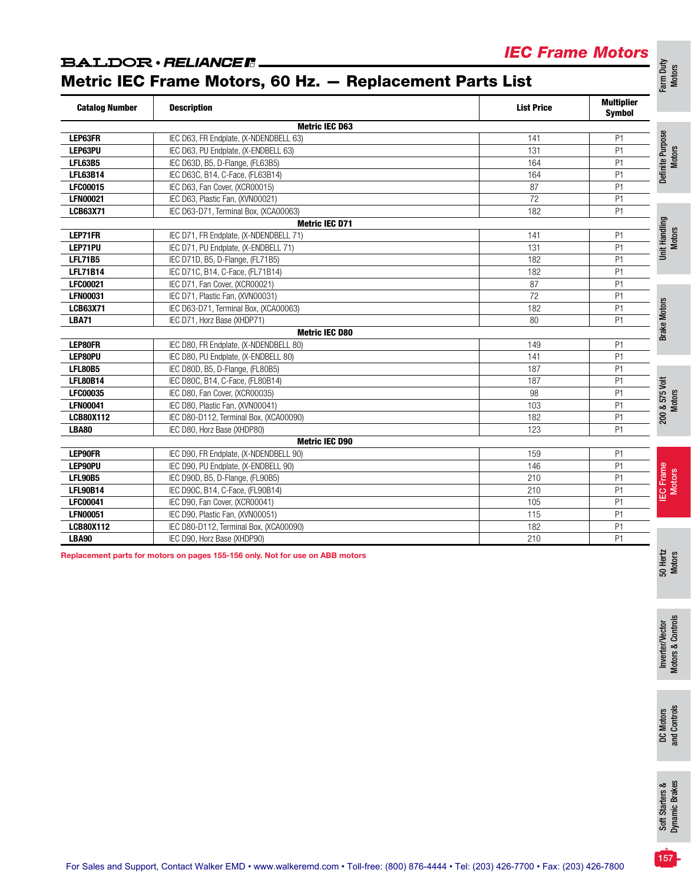### *IEC Frame Motors*

### **BALDOR** · RELIANCER.

Metric IEC Frame Motors, 60 Hz. — Replacement Parts List

| <b>Catalog Number</b> | <b>Description</b>                     | <b>List Price</b> | <b>Multiplier</b><br><b>Symbol</b>    |
|-----------------------|----------------------------------------|-------------------|---------------------------------------|
|                       | <b>Metric IEC D63</b>                  |                   |                                       |
| LEP63FR               | IEC D63, FR Endplate, (X-NDENDBELL 63) | 141               | Definite Purpose<br>Motors<br>P1      |
| LEP63PU               | IEC D63, PU Endplate, (X-ENDBELL 63)   | 131               | P1                                    |
| <b>LFL63B5</b>        | IEC D63D, B5, D-Flange, (FL63B5)       | 164               | P <sub>1</sub>                        |
| <b>LFL63B14</b>       | IEC D63C, B14, C-Face, (FL63B14)       | 164               | P <sub>1</sub>                        |
| <b>LFC00015</b>       | IEC D63, Fan Cover, (XCR00015)         | 87                | P <sub>1</sub>                        |
| <b>LFN00021</b>       | IEC D63, Plastic Fan, (XVN00021)       | 72                | P <sub>1</sub>                        |
| <b>LCB63X71</b>       | IEC D63-D71, Terminal Box, (XCA00063)  | 182               | P <sub>1</sub>                        |
|                       | <b>Metric IEC D71</b>                  |                   | Unit Handling<br>Motors               |
| LEP71FR               | IEC D71, FR Endplate, (X-NDENDBELL 71) | 141               | P1                                    |
| LEP71PU               | IEC D71, PU Endplate, (X-ENDBELL 71)   | 131               | P <sub>1</sub>                        |
| <b>LFL71B5</b>        | IEC D71D, B5, D-Flange, (FL71B5)       | 182               | P <sub>1</sub>                        |
| <b>LFL71B14</b>       | IEC D71C, B14, C-Face, (FL71B14)       | 182               | P <sub>1</sub>                        |
| <b>LFC00021</b>       | IEC D71, Fan Cover, (XCR00021)         | 87                | P <sub>1</sub>                        |
| <b>LFN00031</b>       | IEC D71, Plastic Fan, (XVN00031)       | 72                | P <sub>1</sub>                        |
| <b>LCB63X71</b>       | IEC D63-D71, Terminal Box, (XCA00063)  | 182               | P <sub>1</sub>                        |
| <b>LBA71</b>          | IEC D71, Horz Base (XHDP71)            | 80                | P <sub>1</sub>                        |
|                       | <b>Metric IEC D80</b>                  |                   | <b>Brake Motors</b>                   |
| <b>LEP80FR</b>        | IEC D80, FR Endplate, (X-NDENDBELL 80) | 149               | P <sub>1</sub>                        |
| LEP80PU               | IEC D80, PU Endplate, (X-ENDBELL 80)   | 141               | P <sub>1</sub>                        |
| <b>LFL80B5</b>        | IEC D80D, B5, D-Flange, (FL80B5)       | 187               | P <sub>1</sub>                        |
| <b>LFL80B14</b>       | IEC D80C, B14, C-Face, (FL80B14)       | 187               | P <sub>1</sub>                        |
| <b>LFC00035</b>       | IEC D80, Fan Cover, (XCR00035)         | 98                | P <sub>1</sub>                        |
| <b>LFN00041</b>       | IEC D80, Plastic Fan, (XVN00041)       | 103               | 200 & 575 Volt<br>P <sub>1</sub>      |
| <b>LCB80X112</b>      | IEC D80-D112, Terminal Box, (XCA00090) | 182               | P <sub>1</sub>                        |
| <b>LBA80</b>          | IEC D80, Horz Base (XHDP80)            | 123               | P <sub>1</sub>                        |
|                       | <b>Metric IEC D90</b>                  |                   |                                       |
| <b>LEP90FR</b>        | IEC D90, FR Endplate, (X-NDENDBELL 90) | 159               | P <sub>1</sub>                        |
| LEP90PU               | IEC D90, PU Endplate, (X-ENDBELL 90)   | 146               | P <sub>1</sub>                        |
| <b>LFL90B5</b>        | IEC D90D, B5, D-Flange, (FL90B5)       | 210               | IEC Frame<br>Motors<br>P <sub>1</sub> |
| <b>LFL90B14</b>       | IEC D90C, B14, C-Face, (FL90B14)       | 210               | P <sub>1</sub>                        |
| <b>LFC00041</b>       | IEC D90, Fan Cover, (XCR00041)         | 105               | P <sub>1</sub>                        |
| <b>LFN00051</b>       | IEC D90, Plastic Fan, (XVN00051)       | 115               | P <sub>1</sub>                        |
| <b>LCB80X112</b>      | IEC D80-D112, Terminal Box, (XCA00090) | 182               | P <sub>1</sub>                        |
| <b>LBA90</b>          | IEC D90, Horz Base (XHDP90)            | 210               | P <sub>1</sub>                        |

Replacement parts for motors on pages 155-156 only. Not for use on ABB motors

Inverter/Vector<br>Motors & Controls Motors & Controls

Inverter/Vector

50 Hertz Motors

DC Motors<br>and Controls and Controls

For Sales and Support, Contact Walker EMD • www.walkeremd.com • Toll-free: (800) 876-4444 • Tel: (203) 426-7700 • Fax: (203) 426-7800

Farm Duty Motors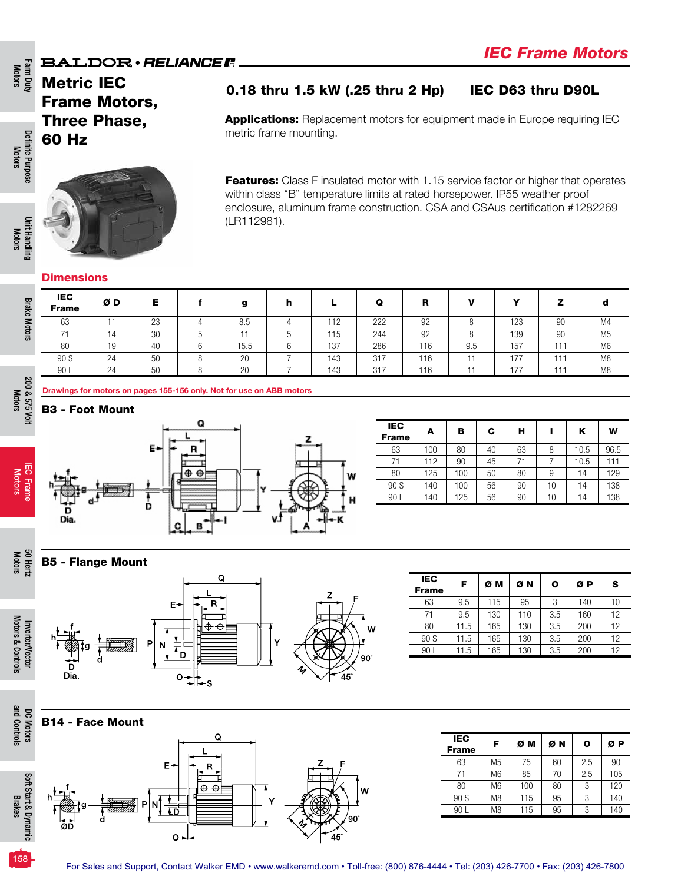### Metric IEC Frame Motors, Three Phase, 60 Hz

Definite Purpose Definite Purpose<br>Motors

Motors

Farm Duty<br>Motors



### 0.18 thru 1.5 kW (.25 thru 2 Hp) IEC D63 thru D90L

**Applications:** Replacement motors for equipment made in Europe requiring IEC metric frame mounting.

Features: Class F insulated motor with 1.15 service factor or higher that operates within class "B" temperature limits at rated horsepower. IP55 weather proof enclosure, aluminum frame construction. CSA and CSAus certification #1282269 (LR112981).

### **Dimensions**

| <b>IEC</b><br><b>Frame</b> | ØΒ | Е            | a    | n |     | Ω   | в   |     | w   |         |                |
|----------------------------|----|--------------|------|---|-----|-----|-----|-----|-----|---------|----------------|
| 63                         |    | $\cap$<br>20 | 8.5  |   | 112 | 222 | 92  |     | 123 | 90      | M4             |
| 74                         | 14 | 30           |      |   | 115 | 244 | 92  |     | 139 | 90      | M <sub>5</sub> |
| 80                         | 19 | 40           | 15.5 |   | 137 | 286 | 116 | 9.5 | 157 | - - - - | M <sub>6</sub> |
| 90 S                       | 24 | 50           | 20   |   | 143 | 317 | 116 |     | 177 | ---     | M <sub>8</sub> |
| 90 L                       | 24 | 50           | 20   |   | 143 | 317 | 116 |     | 177 | - - - - | M <sub>8</sub> |

200 & 575 Volt 200 & 575 Volt Motors

Motors 50 Hertz

and Controls

and Controls

Brakes

158

Brake Motors

**Brake Motors** 



Drawings for motors on pages 155-156 only. Not for use on ABB motors

| <b>IEC</b><br><b>Frame</b> | A   | в   | С  | н  |    | κ    | W    |
|----------------------------|-----|-----|----|----|----|------|------|
| 63                         | 100 | 80  | 40 | 63 | 8  | 10.5 | 96.5 |
| 71                         | 112 | 90  | 45 | 71 |    | 10.5 | 111  |
| 80                         | 125 | 100 | 50 | 80 | 9  | 14   | 129  |
| 90 S                       | 140 | 100 | 56 | 90 | 10 | 14   | 138  |
| 90 L                       | 140 | 125 | 56 | 90 | 10 | 14   | 138  |
|                            |     |     |    |    |    |      |      |

B5 - Flange Mount







| <b>IEC</b>   | F    | ØΜ  | ØΝ  | Ο   | ØΡ  | s  |
|--------------|------|-----|-----|-----|-----|----|
| <b>Frame</b> |      |     |     |     |     |    |
| 63           | 9.5  | 115 | 95  | 3   | 140 | 10 |
| 71           | 9.5  | 130 | 110 | 3.5 | 160 | 12 |
| 80           | 11.5 | 165 | 130 | 3.5 | 200 | 12 |
| 90 S         | 11.5 | 165 | 130 | 3.5 | 200 | 12 |
| 90 L         | 11.5 | 165 | 130 | 3.5 | 200 | 12 |



| <b>IEC</b><br><b>Frame</b> | F              | ØΜ  | ØΝ | ο   | ØР  |
|----------------------------|----------------|-----|----|-----|-----|
| 63                         | M <sub>5</sub> | 75  | 60 | 2.5 | 90  |
| 71                         | M <sub>6</sub> | 85  | 70 | 2.5 | 105 |
| 80                         | M <sub>6</sub> | 100 | 80 | 3   | 120 |
| 90 S                       | M <sub>8</sub> | 115 | 95 | 3   | 140 |
| 90 L                       | M8             | 115 | 95 | 3   | 140 |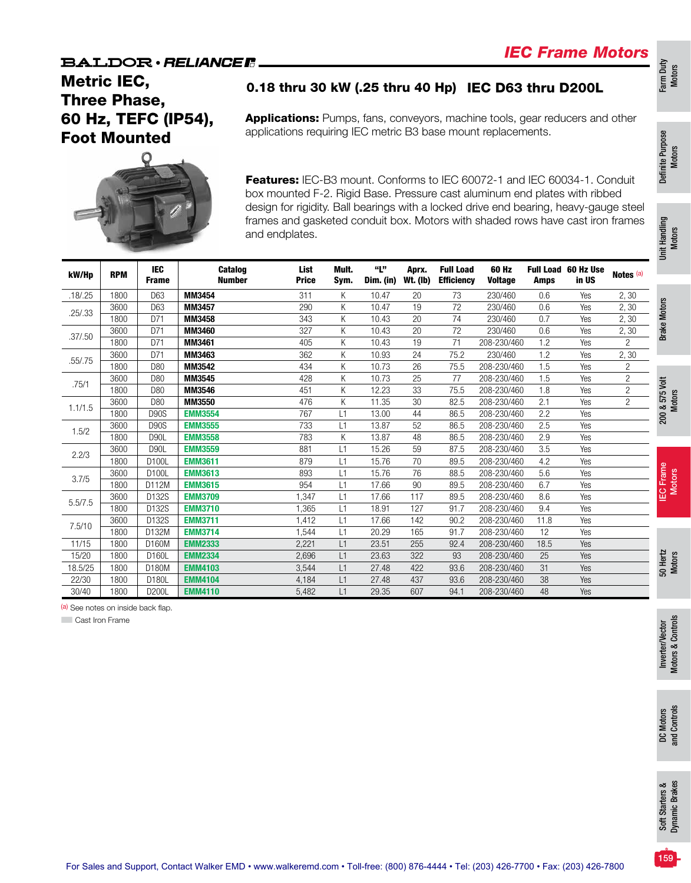Farm Duty Motors

Definite Purpose Definite Purpose<br>Motors

### **BALDOR** · RELIANCE F

### Metric IEC, Three Phase, 60 Hz, TEFC (IP54), Foot Mounted

### 0.18 thru 30 kW (.25 thru 40 Hp) IEC D63 thru D200L

Applications: Pumps, fans, conveyors, machine tools, gear reducers and other applications requiring IEC metric B3 base mount replacements.



Features: IEC-B3 mount. Conforms to IEC 60072-1 and IEC 60034-1. Conduit box mounted F-2. Rigid Base. Pressure cast aluminum end plates with ribbed design for rigidity. Ball bearings with a locked drive end bearing, heavy-gauge steel frames and gasketed conduit box. Motors with shaded rows have cast iron frames and endplates.

|           |            |                            |                          | and endplates.       |               |                  |                          |                                       | frames and gasketed conduit box. Motors with shaded rows have cast iron frames |             |                              |                      | Unit Handling<br>Motors |
|-----------|------------|----------------------------|--------------------------|----------------------|---------------|------------------|--------------------------|---------------------------------------|--------------------------------------------------------------------------------|-------------|------------------------------|----------------------|-------------------------|
| kW/Hp     | <b>RPM</b> | <b>IEC</b><br><b>Frame</b> | Catalog<br><b>Number</b> | List<br><b>Price</b> | Mult.<br>Sym. | "L"<br>Dim. (in) | Aprx.<br><b>Wt. (Ib)</b> | <b>Full Load</b><br><b>Efficiency</b> | 60 Hz<br><b>Voltage</b>                                                        | <b>Amps</b> | Full Load 60 Hz Use<br>in US | Notes <sup>(a)</sup> |                         |
| .18 / .25 | 1800       | D63                        | MM3454                   | 311                  | Κ             | 10.47            | 20                       | 73                                    | 230/460                                                                        | 0.6         | Yes                          | 2,30                 |                         |
| .25/.33   | 3600       | D63                        | MM3457                   | 290                  | Κ             | 10.47            | 19                       | 72                                    | 230/460                                                                        | 0.6         | Yes                          | 2, 30                | <b>Brake Motors</b>     |
|           | 1800       | D71                        | MM3458                   | 343                  | Κ             | 10.43            | 20                       | 74                                    | 230/460                                                                        | 0.7         | Yes                          | 2,30                 |                         |
| .37/0.50  | 3600       | D71                        | MM3460                   | 327                  | Κ             | 10.43            | 20                       | 72                                    | 230/460                                                                        | 0.6         | Yes                          | 2,30                 |                         |
|           | 1800       | D71                        | MM3461                   | 405                  | Κ             | 10.43            | 19                       | 71                                    | 208-230/460                                                                    | 1.2         | Yes                          | $\overline{c}$       |                         |
| .55/.75   | 3600       | D71                        | MM3463                   | 362                  | K             | 10.93            | 24                       | 75.2                                  | 230/460                                                                        | 1.2         | Yes                          | 2,30                 |                         |
|           | 1800       | D80                        | MM3542                   | 434                  | Κ             | 10.73            | 26                       | 75.5                                  | 208-230/460                                                                    | 1.5         | Yes                          | $\overline{2}$       |                         |
| .75/1     | 3600       | D80                        | MM3545                   | 428                  | Κ             | 10.73            | 25                       | 77                                    | 208-230/460                                                                    | 1.5         | Yes                          | $\overline{c}$       |                         |
|           | 1800       | D80                        | MM3546                   | 451                  | K             | 12.23            | 33                       | 75.5                                  | 208-230/460                                                                    | 1.8         | Yes                          | $\overline{2}$       |                         |
| 1.1/1.5   | 3600       | D80                        | MM3550                   | 476                  | Κ             | 11.35            | 30                       | 82.5                                  | 208-230/460                                                                    | 2.1         | Yes                          | $\overline{c}$       | 200 & 575 Volt          |
|           | 1800       | <b>D90S</b>                | <b>EMM3554</b>           | 767                  | L1            | 13.00            | 44                       | 86.5                                  | 208-230/460                                                                    | 2.2         | Yes                          |                      |                         |
| 1.5/2     | 3600       | <b>D90S</b>                | <b>EMM3555</b>           | 733                  | L1            | 13.87            | 52                       | 86.5                                  | 208-230/460                                                                    | 2.5         | Yes                          |                      |                         |
|           | 1800       | <b>D90L</b>                | <b>EMM3558</b>           | 783                  | K             | 13.87            | 48                       | 86.5                                  | 208-230/460                                                                    | 2.9         | Yes                          |                      |                         |
| 2.2/3     | 3600       | <b>D90L</b>                | <b>EMM3559</b>           | 881                  | L1            | 15.26            | 59                       | 87.5                                  | 208-230/460                                                                    | 3.5         | Yes                          |                      |                         |
|           | 1800       | D100L                      | <b>EMM3611</b>           | 879                  | L1            | 15.76            | 70                       | 89.5                                  | 208-230/460                                                                    | 4.2         | Yes                          |                      |                         |
| 3.7/5     | 3600       | D100L                      | <b>EMM3613</b>           | 893                  | L1            | 15.76            | 76                       | 88.5                                  | 208-230/460                                                                    | 5.6         | Yes                          |                      |                         |
|           | 1800       | D112M                      | <b>EMM3615</b>           | 954                  | L1            | 17.66            | 90                       | 89.5                                  | 208-230/460                                                                    | 6.7         | Yes                          |                      | EC Frame<br>Motors<br>요 |
| 5.5/7.5   | 3600       | D132S                      | <b>EMM3709</b>           | 1,347                | L1            | 17.66            | 117                      | 89.5                                  | 208-230/460                                                                    | 8.6         | Yes                          |                      |                         |
|           | 1800       | D132S                      | <b>EMM3710</b>           | 1,365                | L1            | 18.91            | 127                      | 91.7                                  | 208-230/460                                                                    | 9.4         | Yes                          |                      |                         |
| 7.5/10    | 3600       | D132S                      | <b>EMM3711</b>           | 1,412                | L1            | 17.66            | 142                      | 90.2                                  | 208-230/460                                                                    | 11.8        | Yes                          |                      |                         |
|           | 1800       | D132M                      | <b>EMM3714</b>           | 1,544                | L1            | 20.29            | 165                      | 91.7                                  | 208-230/460                                                                    | 12          | Yes                          |                      |                         |
| 11/15     | 1800       | D160M                      | <b>EMM2333</b>           | 2,221                | L1            | 23.51            | 255                      | 92.4                                  | 208-230/460                                                                    | 18.5        | Yes                          |                      |                         |
| 15/20     | 1800       | D160L                      | <b>EMM2334</b>           | 2,696                | L1            | 23.63            | 322                      | 93                                    | 208-230/460                                                                    | 25          | Yes                          |                      | 50 Hertz<br>Motors      |
| 18.5/25   | 1800       | D180M                      | <b>EMM4103</b>           | 3,544                | L1            | 27.48            | 422                      | 93.6                                  | 208-230/460                                                                    | 31          | Yes                          |                      |                         |
| 22/30     | 1800       | D180L                      | <b>EMM4104</b>           | 4,184                | L1            | 27.48            | 437                      | 93.6                                  | 208-230/460                                                                    | 38          | Yes                          |                      |                         |
| 30/40     | 1800       | D200L                      | <b>EMM4110</b>           | 5,482                | L1            | 29.35            | 607                      | 94.1                                  | 208-230/460                                                                    | 48          | Yes                          |                      |                         |

(a) See notes on inside back flap.

**Cast Iron Frame**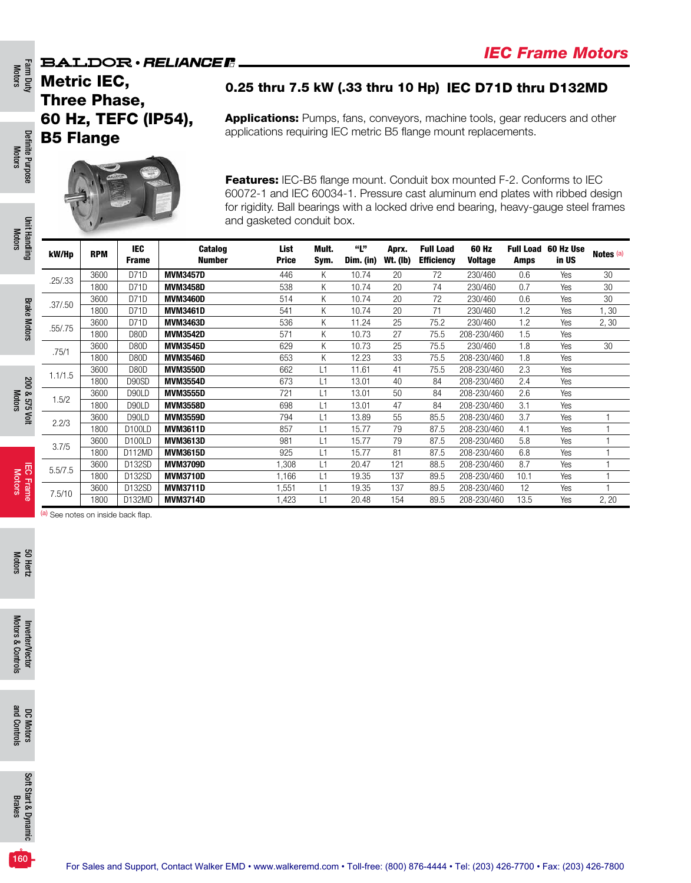Metric IEC, Three Phase, 60 Hz, TEFC (IP54), B5 Flange



0.25 thru 7.5 kW (.33 thru 10 Hp) IEC D71D thru D132MD

Applications: Pumps, fans, conveyors, machine tools, gear reducers and other applications requiring IEC metric B5 flange mount replacements.

Features: IEC-B5 flange mount. Conduit box mounted F-2. Conforms to IEC 60072-1 and IEC 60034-1. Pressure cast aluminum end plates with ribbed design for rigidity. Ball bearings with a locked drive end bearing, heavy-gauge steel frames and gasketed conduit box.

| kW/Hp    | <b>RPM</b> | <b>IEC</b><br><b>Frame</b> | <b>Catalog</b><br><b>Number</b> | List<br><b>Price</b> | Mult.<br>Sym. | "L"<br>Dim. (in) | Aprx.<br><b>Wt. (Ib)</b> | <b>Full Load</b><br><b>Efficiency</b> | 60 Hz<br><b>Voltage</b> | <b>Full Load</b><br>Amps | 60 Hz Use<br>in US | Notes <sup>(a)</sup> |
|----------|------------|----------------------------|---------------------------------|----------------------|---------------|------------------|--------------------------|---------------------------------------|-------------------------|--------------------------|--------------------|----------------------|
| .25/.33  | 3600       | D71D                       | <b>MVM3457D</b>                 | 446                  | K             | 10.74            | 20                       | 72                                    | 230/460                 | 0.6                      | Yes                | 30                   |
|          | 1800       | D71D                       | <b>MVM3458D</b>                 | 538                  | K             | 10.74            | 20                       | 74                                    | 230/460                 | 0.7                      | Yes                | 30                   |
| .37/0.50 | 3600       | D71D                       | <b>MVM3460D</b>                 | 514                  | Κ             | 10.74            | 20                       | 72                                    | 230/460                 | 0.6                      | Yes                | 30                   |
|          | 1800       | D71D                       | <b>MVM3461D</b>                 | 541                  | Κ             | 10.74            | 20                       | 71                                    | 230/460                 | 1.2                      | Yes                | 1,30                 |
| .55/.75  | 3600       | D71D                       | <b>MVM3463D</b>                 | 536                  | Κ             | 11.24            | 25                       | 75.2                                  | 230/460                 | 1.2                      | Yes                | 2,30                 |
|          | 1800       | D80D                       | <b>MVM3542D</b>                 | 571                  | Κ             | 10.73            | 27                       | 75.5                                  | 208-230/460             | 1.5                      | Yes                |                      |
| .75/1    | 3600       | D80D                       | <b>MVM3545D</b>                 | 629                  | Κ             | 10.73            | 25                       | 75.5                                  | 230/460                 | 1.8                      | Yes                | 30                   |
|          | 1800       | D80D                       | <b>MVM3546D</b>                 | 653                  | Κ             | 12.23            | 33                       | 75.5                                  | 208-230/460             | 1.8                      | Yes                |                      |
| 1.1/1.5  | 3600       | D80D                       | <b>MVM3550D</b>                 | 662                  | L1            | 11.61            | 41                       | 75.5                                  | 208-230/460             | 2.3                      | Yes                |                      |
|          | 1800       | D90SD                      | <b>MVM3554D</b>                 | 673                  | L1            | 13.01            | 40                       | 84                                    | 208-230/460             | 2.4                      | Yes                |                      |
| 1.5/2    | 3600       | D90LD                      | <b>MVM3555D</b>                 | 721                  | L1            | 13.01            | 50                       | 84                                    | 208-230/460             | 2.6                      | Yes                |                      |
|          | 1800       | D90LD                      | <b>MVM3558D</b>                 | 698                  | L1            | 13.01            | 47                       | 84                                    | 208-230/460             | 3.1                      | Yes                |                      |
| 2.2/3    | 3600       | D90LD                      | <b>MVM3559D</b>                 | 794                  | L1            | 13.89            | 55                       | 85.5                                  | 208-230/460             | 3.7                      | Yes                |                      |
|          | 1800       | D <sub>100LD</sub>         | <b>MVM3611D</b>                 | 857                  | L1            | 15.77            | 79                       | 87.5                                  | 208-230/460             | 4.1                      | Yes                |                      |
| 3.7/5    | 3600       | D <sub>100LD</sub>         | <b>MVM3613D</b>                 | 981                  | L1            | 15.77            | 79                       | 87.5                                  | 208-230/460             | 5.8                      | Yes                |                      |
|          | 1800       | D112MD                     | <b>MVM3615D</b>                 | 925                  | L1            | 15.77            | 81                       | 87.5                                  | 208-230/460             | 6.8                      | Yes                |                      |
| 5.5/7.5  | 3600       | D132SD                     | <b>MVM3709D</b>                 | ,308                 | L1            | 20.47            | 121                      | 88.5                                  | 208-230/460             | 8.7                      | Yes                |                      |
|          | 1800       | D132SD                     | <b>MVM3710D</b>                 | 1.166                | L1            | 19.35            | 137                      | 89.5                                  | 208-230/460             | 10.1                     | Yes                |                      |
| 7.5/10   | 3600       | D132SD                     | <b>MVM3711D</b>                 | 1,551                | L1            | 19.35            | 137                      | 89.5                                  | 208-230/460             | 12                       | Yes                |                      |
|          | 1800       | D132MD                     | <b>MVM3714D</b>                 | 1,423                | L1            | 20.48            | 154                      | 89.5                                  | 208-230/460             | 13.5                     | Yes                | 2, 20                |

(a) See notes on inside back flap.

Farm Duty<br>Motors

Definite Purpose Motors

Definite Purpose

Unit Handling Motors

**Unit Handling** 

Brake Motors

**Brake Motors** 

200 & 575 Volt Motors

200 & 575 Volt

IEC Frame **IEC Frame**<br>Motors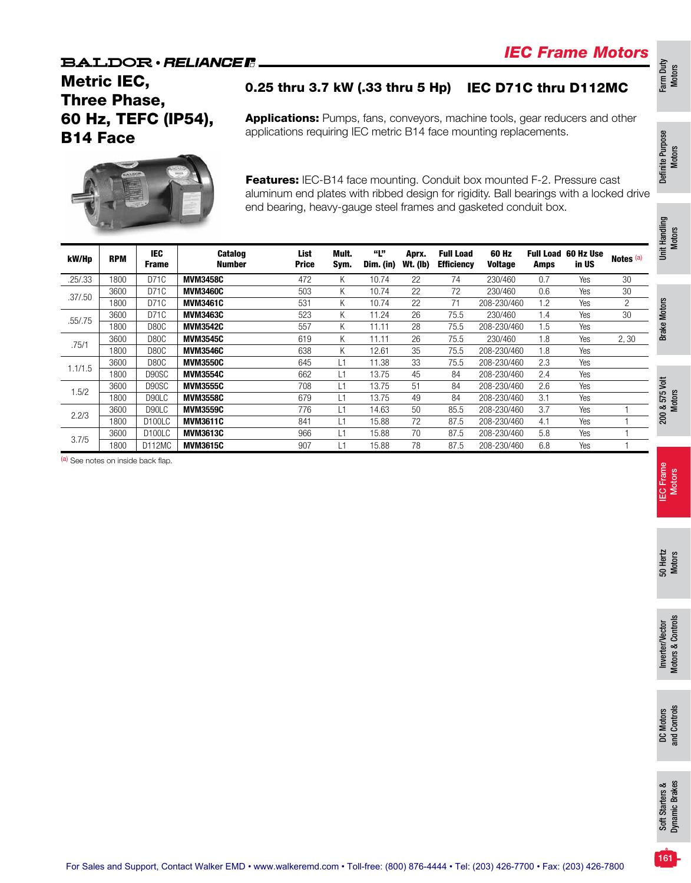Metric IEC, Three Phase, 60 Hz, TEFC (IP54), B14 Face

### 0.25 thru 3.7 kW (.33 thru 5 Hp) IEC D71C thru D112MC

Applications: Pumps, fans, conveyors, machine tools, gear reducers and other applications requiring IEC metric B14 face mounting replacements.



Features: IEC-B14 face mounting. Conduit box mounted F-2. Pressure cast aluminum end plates with ribbed design for rigidity. Ball bearings with a locked drive end bearing, heavy-gauge steel frames and gasketed conduit box.

|          |            |                            |                          | ັ                    | - ت - ت - ت   |                  |                   | ◡                                     |                  |      |                              |           | Handling<br><b>Motors</b> |
|----------|------------|----------------------------|--------------------------|----------------------|---------------|------------------|-------------------|---------------------------------------|------------------|------|------------------------------|-----------|---------------------------|
| kW/Hp    | <b>RPM</b> | <b>IEC</b><br><b>Frame</b> | <b>Catalog</b><br>Number | List<br><b>Price</b> | Mult.<br>Sym. | "Լ"<br>Dim. (in) | Aprx.<br>Wt. (lb) | <b>Full Load</b><br><b>Efficiency</b> | 60 Hz<br>Voltage | Amps | Full Load 60 Hz Use<br>in US | Notes (a) | š                         |
| .25/.33  | 1800       | D71C                       | <b>MVM3458C</b>          | 472                  | K.            | 10.74            | 22                | 74                                    | 230/460          | 0.7  | Yes                          | 30        |                           |
| .37/0.50 | 3600       | D71C                       | <b>MVM3460C</b>          | 503                  | K.            | 10.74            | 22                | 72                                    | 230/460          | 0.6  | Yes                          | 30        |                           |
|          | 1800       | D71C                       | <b>MVM3461C</b>          | 531                  | K.            | 10.74            | 22                | 71                                    | 208-230/460      | 1.2  | Yes                          | 2         |                           |
| .55/.75  | 3600       | D71C                       | <b>MVM3463C</b>          | 523                  | K             | 11.24            | 26                | 75.5                                  | 230/460          | 1.4  | Yes                          | 30        | <b>Brake Motors</b>       |
|          | 1800       | D80C                       | <b>MVM3542C</b>          | 557                  | K.            | 11.11            | 28                | 75.5                                  | 208-230/460      | 1.5  | Yes                          |           |                           |
| .75/1    | 3600       | D80C                       | <b>MVM3545C</b>          | 619                  | K.            | 11.11            | 26                | 75.5                                  | 230/460          | 1.8  | Yes                          | 2,30      |                           |
|          | 1800       | D80C                       | <b>MVM3546C</b>          | 638                  | K             | 12.61            | 35                | 75.5                                  | 208-230/460      | 1.8  | Yes                          |           |                           |
| 1.1/1.5  | 3600       | D80C                       | <b>MVM3550C</b>          | 645                  | L1            | 11.38            | 33                | 75.5                                  | 208-230/460      | 2.3  | Yes                          |           |                           |
|          | 1800       | D90SC                      | <b>MVM3554C</b>          | 662                  | L1            | 13.75            | 45                | 84                                    | 208-230/460      | 2.4  | Yes                          |           |                           |
| 1.5/2    | 3600       | D90SC                      | <b>MVM3555C</b>          | 708                  | L1            | 13.75            | 51                | 84                                    | 208-230/460      | 2.6  | Yes                          |           | š                         |
|          | 1800       | D90LC                      | <b>MVM3558C</b>          | 679                  | L1            | 13.75            | 49                | 84                                    | 208-230/460      | 3.1  | Yes                          |           | <b>Motors</b><br>575      |
| 2.2/3    | 3600       | D90LC                      | <b>MVM3559C</b>          | 776                  | L1            | 14.63            | 50                | 85.5                                  | 208-230/460      | 3.7  | Yes                          |           | య                         |
|          | 1800       | D <sub>100</sub> LC        | <b>MVM3611C</b>          | 841                  | L1            | 15.88            | 72                | 87.5                                  | 208-230/460      | 4.1  | Yes                          |           | 200                       |
| 3.7/5    | 3600       | D <sub>100</sub> LC        | <b>MVM3613C</b>          | 966                  | L1            | 15.88            | 70                | 87.5                                  | 208-230/460      | 5.8  | Yes                          |           |                           |
|          | 1800       | D112MC                     | <b>MVM3615C</b>          | 907                  | L1            | 15.88            | 78                | 87.5                                  | 208-230/460      | 6.8  | Yes                          |           |                           |

(a) See notes on inside back flap.

Farm Duty Motors

Definite Purpose Definite Purpose<br>Motors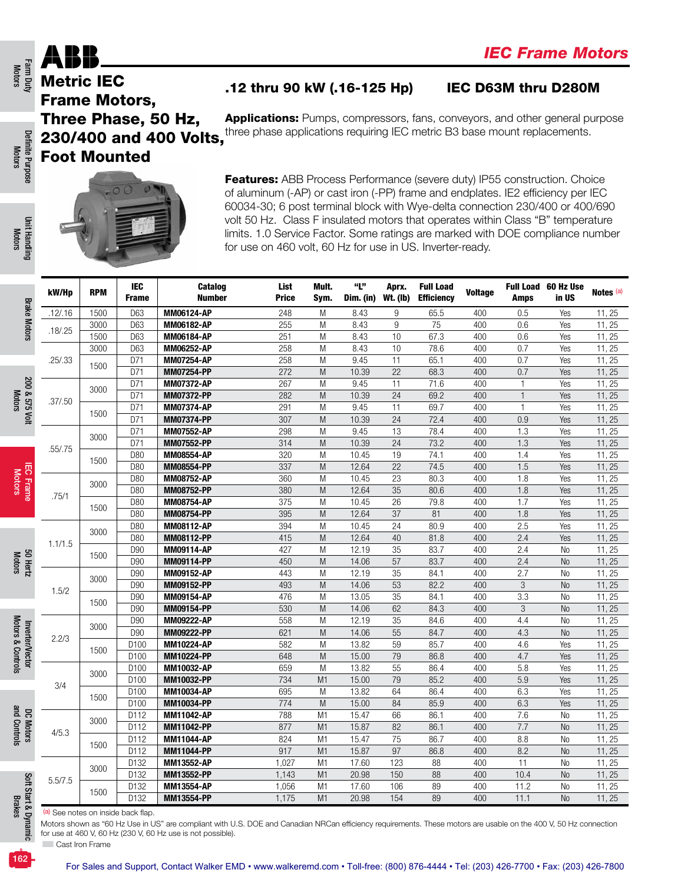### Metric IEC Frame Motors, Three Phase, 50 Hz, 230/400 and 400 Volts, Foot Mounted

### .12 thru 90 kW (.16-125 Hp) IEC D63M thru D280M



| <b>Foot Mounted</b> |            |                        |                                        |                                                                                                                                                                                                                                                                                                                                                                                                                                                                                        |                     |                  |                          |                                       |                |                       |                              |                  |
|---------------------|------------|------------------------|----------------------------------------|----------------------------------------------------------------------------------------------------------------------------------------------------------------------------------------------------------------------------------------------------------------------------------------------------------------------------------------------------------------------------------------------------------------------------------------------------------------------------------------|---------------------|------------------|--------------------------|---------------------------------------|----------------|-----------------------|------------------------------|------------------|
|                     |            |                        |                                        | <b>Features:</b> ABB Process Performance (severe duty) IP55 construction. Choice<br>of aluminum (-AP) or cast iron (-PP) frame and endplates. IE2 efficiency per IEC<br>60034-30; 6 post terminal block with Wye-delta connection 230/400 or 400/690<br>volt 50 Hz. Class F insulated motors that operates within Class "B" temperature<br>limits. 1.0 Service Factor. Some ratings are marked with DOE compliance number<br>for use on 460 volt, 60 Hz for use in US. Inverter-ready. |                     |                  |                          |                                       |                |                       |                              |                  |
| kW/Hp               | <b>RPM</b> | IEC<br><b>Frame</b>    | Catalog<br><b>Number</b>               | List<br><b>Price</b>                                                                                                                                                                                                                                                                                                                                                                                                                                                                   | Mult.<br>Sym.       | "L"<br>Dim. (in) | Aprx.<br><b>Wt. (Ib)</b> | <b>Full Load</b><br><b>Efficiency</b> | <b>Voltage</b> | <b>Amps</b>           | Full Load 60 Hz Use<br>in US | Notes (a)        |
| .12/0.16            | 1500       | D63                    | MM06124-AP                             | 248                                                                                                                                                                                                                                                                                                                                                                                                                                                                                    | M                   | 8.43             | 9                        | 65.5                                  | 400            | 0.5                   | Yes                          | 11, 25           |
|                     | 3000       | D63                    | <b>MM06182-AP</b>                      | 255                                                                                                                                                                                                                                                                                                                                                                                                                                                                                    | M                   | 8.43             | 9                        | 75                                    | 400            | 0.6                   | Yes                          | 11, 25           |
| .18/0.25            | 1500       | D63                    | <b>MM06184-AP</b>                      | 251                                                                                                                                                                                                                                                                                                                                                                                                                                                                                    | M                   | 8.43             | 10                       | 67.3                                  | 400            | 0.6                   | Yes                          | 11, 25           |
|                     | 3000       | D63                    | <b>MM06252-AP</b>                      | 258                                                                                                                                                                                                                                                                                                                                                                                                                                                                                    | M                   | 8.43             | 10                       | 78.6                                  | 400            | 0.7                   | Yes                          | 11, 25           |
| .25/.33             | 1500       | D71                    | <b>MM07254-AP</b>                      | 258                                                                                                                                                                                                                                                                                                                                                                                                                                                                                    | M                   | 9.45             | 11                       | 65.1                                  | 400            | 0.7                   | Yes                          | 11, 25           |
|                     |            | D71<br>D71             | <b>MM07254-PP</b>                      | 272<br>267                                                                                                                                                                                                                                                                                                                                                                                                                                                                             | M<br>M              | 10.39<br>9.45    | 22<br>11                 | 68.3<br>71.6                          | 400            | 0.7<br>$\overline{1}$ | Yes                          | 11, 25<br>11, 25 |
|                     | 3000       | D71                    | <b>MM07372-AP</b><br>MM07372-PP        | 282                                                                                                                                                                                                                                                                                                                                                                                                                                                                                    | M                   | 10.39            | 24                       | 69.2                                  | 400<br>400     | $\overline{1}$        | Yes<br>Yes                   | 11, 25           |
| .37/.50             |            | D71                    | <b>MM07374-AP</b>                      | 291                                                                                                                                                                                                                                                                                                                                                                                                                                                                                    | M                   | 9.45             | 11                       | 69.7                                  | 400            | $\mathbf{1}$          | Yes                          | 11, 25           |
|                     | 1500       | D71                    | <b>MM07374-PP</b>                      | 307                                                                                                                                                                                                                                                                                                                                                                                                                                                                                    | M                   | 10.39            | 24                       | 72.4                                  | 400            | 0.9                   | Yes                          | 11, 25           |
|                     | 3000       | D71                    | <b>MM07552-AP</b>                      | 298                                                                                                                                                                                                                                                                                                                                                                                                                                                                                    | M                   | 9.45             | 13                       | 78.4                                  | 400            | 1.3                   | Yes                          | 11, 25           |
| .55/.75             |            | D71                    | <b>MM07552-PP</b>                      | 314                                                                                                                                                                                                                                                                                                                                                                                                                                                                                    | M                   | 10.39            | 24                       | 73.2                                  | 400            | 1.3                   | Yes                          | 11, 25           |
|                     | 1500       | D80                    | <b>MM08554-AP</b>                      | 320                                                                                                                                                                                                                                                                                                                                                                                                                                                                                    | M                   | 10.45            | 19                       | 74.1                                  | 400            | 1.4                   | Yes                          | 11, 25           |
|                     |            | D80                    | MM08554-PP                             | 337                                                                                                                                                                                                                                                                                                                                                                                                                                                                                    | M                   | 12.64            | 22                       | 74.5                                  | 400            | 1.5                   | Yes                          | 11, 25           |
|                     | 3000       | D80<br>D80             | <b>MM08752-AP</b><br><b>MM08752-PP</b> | 360<br>380                                                                                                                                                                                                                                                                                                                                                                                                                                                                             | M<br>M              | 10.45<br>12.64   | 23<br>35                 | 80.3<br>80.6                          | 400<br>400     | 1.8<br>1.8            | Yes<br>Yes                   | 11, 25<br>11, 25 |
| .75/1               |            | D80                    | <b>MM08754-AP</b>                      | 375                                                                                                                                                                                                                                                                                                                                                                                                                                                                                    | M                   | 10.45            | 26                       | 79.8                                  | 400            | 1.7                   | Yes                          | 11, 25           |
|                     | 1500       | D80                    | MM08754-PP                             | 395                                                                                                                                                                                                                                                                                                                                                                                                                                                                                    | M                   | 12.64            | 37                       | 81                                    | 400            | 1.8                   | Yes                          | 11, 25           |
|                     | 3000       | D80                    | <b>MM08112-AP</b>                      | 394                                                                                                                                                                                                                                                                                                                                                                                                                                                                                    | M                   | 10.45            | 24                       | 80.9                                  | 400            | 2.5                   | Yes                          | 11, 25           |
| 1.1/1.5             |            | D80                    | MM08112-PP                             | 415                                                                                                                                                                                                                                                                                                                                                                                                                                                                                    | M                   | 12.64            | 40                       | 81.8                                  | 400            | 2.4                   | Yes                          | 11, 25           |
|                     | 1500       | D90                    | <b>MM09114-AP</b>                      | 427                                                                                                                                                                                                                                                                                                                                                                                                                                                                                    | M                   | 12.19            | 35                       | 83.7                                  | 400            | 2.4                   | No                           | 11, 25           |
|                     |            | D90                    | <b>MM09114-PP</b>                      | 450                                                                                                                                                                                                                                                                                                                                                                                                                                                                                    | M                   | 14.06            | 57                       | 83.7                                  | 400            | 2.4                   | N <sub>0</sub>               | 11, 25           |
|                     | 3000       | D <sub>90</sub><br>D90 | <b>MM09152-AP</b><br>MM09152-PP        | 443<br>493                                                                                                                                                                                                                                                                                                                                                                                                                                                                             | M<br>M              | 12.19<br>14.06   | 35<br>53                 | 84.1<br>82.2                          | 400<br>400     | 2.7<br>3              | No                           | 11, 25<br>11, 25 |
| 1.5/2               |            | D90                    | <b>MM09154-AP</b>                      | 476                                                                                                                                                                                                                                                                                                                                                                                                                                                                                    | M                   | 13.05            | 35                       | 84.1                                  | 400            | 3.3                   | <b>No</b><br>No              | 11, 25           |
|                     | 1500       | D90                    | MM09154-PP                             | 530                                                                                                                                                                                                                                                                                                                                                                                                                                                                                    | M                   | 14.06            | 62                       | 84.3                                  | 400            | 3                     | N <sub>o</sub>               | 11, 25           |
|                     |            | D90                    | <b>MM09222-AP</b>                      | 558                                                                                                                                                                                                                                                                                                                                                                                                                                                                                    | M                   | 12.19            | 35                       | 84.6                                  | 400            | 4.4                   | No                           | 11, 25           |
| 2.2/3               | 3000       | D90                    | <b>MM09222-PP</b>                      | 621                                                                                                                                                                                                                                                                                                                                                                                                                                                                                    | M                   | 14.06            | 55                       | 84.7                                  | 400            | 4.3                   | <b>No</b>                    | 11, 25           |
|                     | 1500       | D100                   | <b>MM10224-AP</b>                      | 582                                                                                                                                                                                                                                                                                                                                                                                                                                                                                    | M                   | 13.82            | 59                       | 85.7                                  | 400            | 4.6                   | Yes                          | 11, 25           |
|                     |            | D <sub>100</sub>       | MM10224-PP                             | 648                                                                                                                                                                                                                                                                                                                                                                                                                                                                                    | M                   | 15.00            | 79                       | 86.8                                  | 400            | 4.7                   | Yes                          | 11, 25           |
|                     | 3000       | D <sub>100</sub>       | <b>MM10032-AP</b>                      | 659                                                                                                                                                                                                                                                                                                                                                                                                                                                                                    | M                   | 13.82            | 55                       | 86.4                                  | 400            | 5.8                   | Yes                          | 11, 25           |
| 3/4                 |            | D100<br>D100           | MM10032-PP<br><b>MM10034-AP</b>        | 734<br>695                                                                                                                                                                                                                                                                                                                                                                                                                                                                             | M <sub>1</sub><br>M | 15.00<br>13.82   | 79<br>64                 | 85.2<br>86.4                          | 400<br>400     | 5.9<br>6.3            | Yes<br>Yes                   | 11, 25<br>11, 25 |
|                     | 1500       | D100                   | MM10034-PP                             | 774                                                                                                                                                                                                                                                                                                                                                                                                                                                                                    | M                   | 15.00            | 84                       | 85.9                                  | 400            | 6.3                   | Yes                          | 11, 25           |
|                     |            | D112                   | <b>MM11042-AP</b>                      | 788                                                                                                                                                                                                                                                                                                                                                                                                                                                                                    | M1                  | 15.47            | 66                       | 86.1                                  | 400            | 7.6                   | No                           | 11, 25           |
|                     | 3000       | D112                   | MM11042-PP                             | 877                                                                                                                                                                                                                                                                                                                                                                                                                                                                                    | M <sub>1</sub>      | 15.87            | 82                       | 86.1                                  | 400            | 7.7                   | <b>No</b>                    | 11, 25           |
| 4/5.3               | 1500       | D112                   | <b>MM11044-AP</b>                      | 824                                                                                                                                                                                                                                                                                                                                                                                                                                                                                    | M1                  | 15.47            | 75                       | 86.7                                  | 400            | 8.8                   | No                           | 11, 25           |
|                     |            | D112                   | MM11044-PP                             | 917                                                                                                                                                                                                                                                                                                                                                                                                                                                                                    | M <sub>1</sub>      | 15.87            | 97                       | 86.8                                  | 400            | 8.2                   | No                           | 11, 25           |
|                     | 3000       | D132                   | MM13552-AP                             | 1,027                                                                                                                                                                                                                                                                                                                                                                                                                                                                                  | M1                  | 17.60            | 123                      | 88                                    | 400            | 11                    | No                           | 11, 25           |
| 5.5/7.5             |            | D132                   | MM13552-PP                             | 1,143                                                                                                                                                                                                                                                                                                                                                                                                                                                                                  | M <sub>1</sub>      | 20.98<br>17.60   | 150                      | 88                                    | 400            | 10.4                  | No<br>No                     | 11, 25<br>11, 25 |
|                     | 1500       | D132                   | MM13554-AP                             | 1,056                                                                                                                                                                                                                                                                                                                                                                                                                                                                                  | M1                  |                  | 106                      | 89                                    | 400            | 11.2                  |                              |                  |

Farm Duty<br>Motors

Motors & Controls

and Controls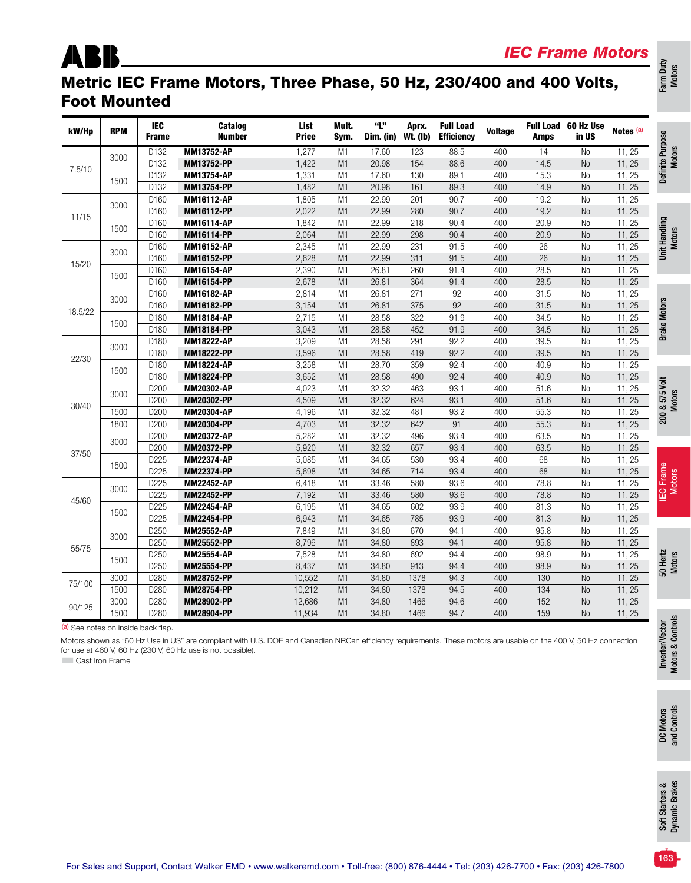## ABB

### Metric IEC Frame Motors, Three Phase, 50 Hz, 230/400 and 400 Volts, Foot Mounted

| kW/Hp           | <b>RPM</b>                         | <b>IEC</b><br><b>Frame</b> | <b>Catalog</b><br><b>Number</b>                                                                                                                                                                                                 | List<br><b>Price</b> | Mult.<br>Sym.  | "Լ"<br>Dim. (in) | Aprx.<br><b>Wt. (Ib)</b> | <b>Full Load</b><br><b>Efficiency</b> | <b>Voltage</b> | <b>Amps</b> | Full Load 60 Hz Use<br>in US | Notes (a) | Definite Purpose<br>Motors |
|-----------------|------------------------------------|----------------------------|---------------------------------------------------------------------------------------------------------------------------------------------------------------------------------------------------------------------------------|----------------------|----------------|------------------|--------------------------|---------------------------------------|----------------|-------------|------------------------------|-----------|----------------------------|
|                 | 3000                               | D132                       | MM13752-AP                                                                                                                                                                                                                      | 1.277                | M1             | 17.60            | 123                      | 88.5                                  | 400            | 14          | <b>No</b>                    | 11, 25    |                            |
| 7.5/10          |                                    | D132                       | MM13752-PP                                                                                                                                                                                                                      | 1,422                | M1             | 20.98            | 154                      | 88.6                                  | 400            | 14.5        | <b>No</b>                    | 11, 25    |                            |
|                 | 1500                               | D132                       | <b>MM13754-AP</b>                                                                                                                                                                                                               | 1,331                | M1             | 17.60            | 130                      | 89.1                                  | 400            | 15.3        | <b>No</b>                    | 11, 25    |                            |
|                 |                                    | D132                       | MM13754-PP                                                                                                                                                                                                                      | 1,482                | M1             | 20.98            | 161                      | 89.3                                  | 400            | 14.9        | <b>No</b>                    | 11, 25    |                            |
|                 | 3000                               | D160                       | <b>MM16112-AP</b>                                                                                                                                                                                                               | 1,805                | M1             | 22.99            | 201                      | 90.7                                  | 400            | 19.2        | <b>No</b>                    | 11, 25    |                            |
| 11/15           |                                    | D160                       | <b>MM16112-PP</b>                                                                                                                                                                                                               | 2.022                | M1             | 22.99            | 280                      | 90.7                                  | 400            | 19.2        | <b>No</b>                    | 11, 25    |                            |
|                 | 1500                               | D160                       | <b>MM16114-AP</b>                                                                                                                                                                                                               | 1,842                | M1             | 22.99            | 218                      | 90.4                                  | 400            | 20.9        | <b>No</b>                    | 11, 25    |                            |
|                 |                                    | D160                       | <b>MM16114-PP</b>                                                                                                                                                                                                               | 2,064                | M1             | 22.99            | 298                      | 90.4                                  | 400            | 20.9        | N <sub>0</sub>               | 11, 25    | Unit Handling<br>Motors    |
|                 | 3000                               | D160                       | <b>MM16152-AP</b>                                                                                                                                                                                                               | 2.345                | M1             | 22.99            | 231                      | 91.5                                  | 400            | 26          | <b>No</b>                    | 11.25     |                            |
| 15/20           |                                    | D160                       | <b>MM16152-PP</b>                                                                                                                                                                                                               | 2,628                | M1             | 22.99            | 311                      | 91.5                                  | 400            | 26          | <b>No</b>                    | 11, 25    |                            |
|                 | 1500                               | D160                       | <b>MM16154-AP</b>                                                                                                                                                                                                               | 2,390                | M1             | 26.81            | 260                      | 91.4                                  | 400            | 28.5        | N <sub>0</sub>               | 11, 25    |                            |
|                 |                                    | D160                       | MM16154-PP                                                                                                                                                                                                                      | 2,678                | M <sub>1</sub> | 26.81            | 364                      | 91.4                                  | 400            | 28.5        | <b>No</b>                    | 11, 25    |                            |
|                 |                                    | D160                       | MM16182-AP                                                                                                                                                                                                                      | 2,814                | M <sub>1</sub> | 26.81            | 271                      | 92                                    | 400            | 31.5        | N <sub>0</sub>               | 11, 25    |                            |
|                 | 3000                               | D160                       | MM16182-PP                                                                                                                                                                                                                      | 3.154                | M1             | 26.81            | 375                      | 92                                    | 400            | 31.5        | <b>No</b>                    | 11, 25    | <b>Brake Motors</b>        |
| 18.5/22         |                                    | D180                       | <b>MM18184-AP</b>                                                                                                                                                                                                               | 2,715                | M1             | 28.58            | 322                      | 91.9                                  | 400            | 34.5        | <b>No</b>                    | 11, 25    |                            |
|                 | 1500                               | D180                       | MM18184-PP                                                                                                                                                                                                                      | 3,043                | M <sub>1</sub> | 28.58            | 452                      | 91.9                                  | 400            | 34.5        | N <sub>0</sub>               | 11, 25    |                            |
|                 |                                    | D180                       | MM18222-AP                                                                                                                                                                                                                      | 3,209                | M1             | 28.58            | 291                      | 92.2                                  | 400            | 39.5        | <b>No</b>                    | 11, 25    |                            |
|                 | 3000                               | D180                       | MM18222-PP                                                                                                                                                                                                                      | 3,596                | M1             | 28.58            | 419                      | 92.2                                  | 400            | 39.5        | <b>No</b>                    | 11, 25    |                            |
| 22/30           |                                    | D180                       | <b>MM18224-AP</b>                                                                                                                                                                                                               | 3,258                | M1             | 28.70            | 359                      | 92.4                                  | 400            | 40.9        | N <sub>0</sub>               | 11, 25    |                            |
|                 | 1500                               | D180                       | <b>MM18224-PP</b>                                                                                                                                                                                                               | 3,652                | M1             | 28.58            | 490                      | 92.4                                  | 400            | 40.9        | <b>No</b>                    | 11, 25    |                            |
|                 |                                    | D200                       | MM20302-AP                                                                                                                                                                                                                      | 4,023                | M1             | 32.32            | 463                      | 93.1                                  | 400            | 51.6        | N <sub>0</sub>               | 11, 25    |                            |
|                 | 3000                               | D <sub>200</sub>           | MM20302-PP                                                                                                                                                                                                                      | 4,509                | M1             | 32.32            | 624                      | 93.1                                  | 400            | 51.6        | <b>No</b>                    | 11, 25    | 200 & 575 Volt             |
| 30/40           | 1500                               | D200                       | <b>MM20304-AP</b>                                                                                                                                                                                                               | 4,196                | M1             | 32.32            | 481                      | 93.2                                  | 400            | 55.3        | <b>No</b>                    | 11, 25    |                            |
|                 | 1800                               | D200                       | <b>MM20304-PP</b>                                                                                                                                                                                                               | 4,703                | M <sub>1</sub> | 32.32            | 642                      | 91                                    | 400            | 55.3        | <b>No</b>                    | 11, 25    |                            |
|                 |                                    | D200                       | <b>MM20372-AP</b>                                                                                                                                                                                                               | 5,282                | M1             | 32.32            | 496                      | 93.4                                  | 400            | 63.5        | N <sub>0</sub>               | 11, 25    |                            |
|                 | 3000                               | D <sub>200</sub>           | <b>MM20372-PP</b>                                                                                                                                                                                                               | 5.920                | M <sub>1</sub> | 32.32            | 657                      | 93.4                                  | 400            | 63.5        | <b>No</b>                    | 11, 25    |                            |
| 37/50           |                                    | D225                       | <b>MM22374-AP</b>                                                                                                                                                                                                               | 5,085                | M <sub>1</sub> | 34.65            | 530                      | 93.4                                  | 400            | 68          | <b>No</b>                    | 11, 25    |                            |
|                 | 1500                               | D225                       | <b>MM22374-PP</b>                                                                                                                                                                                                               | 5,698                | M <sub>1</sub> | 34.65            | 714                      | 93.4                                  | 400            | 68          | <b>No</b>                    | 11, 25    |                            |
|                 |                                    | D225                       | <b>MM22452-AP</b>                                                                                                                                                                                                               | 6,418                | M1             | 33.46            | 580                      | 93.6                                  | 400            | 78.8        | No                           | 11, 25    |                            |
|                 | 3000                               | D225                       | <b>MM22452-PP</b>                                                                                                                                                                                                               | 7,192                | M1             | 33.46            | 580                      | 93.6                                  | 400            | 78.8        | <b>No</b>                    | 11, 25    | <b>IEC Frame</b><br>Motors |
| 45/60           |                                    | D225                       | <b>MM22454-AP</b>                                                                                                                                                                                                               | 6,195                | M1             | 34.65            | 602                      | 93.9                                  | 400            | 81.3        | <b>No</b>                    | 11, 25    |                            |
|                 | 1500                               | D225                       | <b>MM22454-PP</b>                                                                                                                                                                                                               | 6,943                | M <sub>1</sub> | 34.65            | 785                      | 93.9                                  | 400            | 81.3        | N <sub>0</sub>               | 11, 25    |                            |
|                 |                                    | D250                       | <b>MM25552-AP</b>                                                                                                                                                                                                               | 7,849                | M1             | 34.80            | 670                      | 94.1                                  | 400            | 95.8        | <b>No</b>                    | 11, 25    |                            |
|                 | 3000                               | D250                       | MM25552-PP                                                                                                                                                                                                                      | 8,796                | M1             | 34.80            | 893                      | 94.1                                  | 400            | 95.8        | <b>No</b>                    | 11, 25    |                            |
| 55/75           |                                    | D250                       | <b>MM25554-AP</b>                                                                                                                                                                                                               | 7,528                | M1             | 34.80            | 692                      | 94.4                                  | 400            | 98.9        | N <sub>0</sub>               | 11, 25    |                            |
|                 | 1500                               | D250                       | <b>MM25554-PP</b>                                                                                                                                                                                                               | 8,437                | M1             | 34.80            | 913                      | 94.4                                  | 400            | 98.9        | <b>No</b>                    | 11, 25    | 50 Hertz<br>Motors         |
|                 | 3000                               | D280                       | MM28752-PP                                                                                                                                                                                                                      | 10,552               | M1             | 34.80            | 1378                     | 94.3                                  | 400            | 130         | <b>No</b>                    | 11, 25    |                            |
| 75/100          | 1500                               | D280                       | <b>MM28754-PP</b>                                                                                                                                                                                                               | 10,212               | M1             | 34.80            | 1378                     | 94.5                                  | 400            | 134         | N <sub>0</sub>               | 11, 25    |                            |
|                 | 3000                               | D280                       | MM28902-PP                                                                                                                                                                                                                      | 12,686               | M1             | 34.80            | 1466                     | 94.6                                  | 400            | 152         | <b>No</b>                    | 11, 25    |                            |
| 90/125          | 1500                               | D280                       | MM28904-PP                                                                                                                                                                                                                      | 11.934               | M1             | 34.80            | 1466                     | 94.7                                  | 400            | 159         | <b>No</b>                    | 11, 25    |                            |
|                 | (a) See notes on inside back flap. |                            |                                                                                                                                                                                                                                 |                      |                |                  |                          |                                       |                |             |                              |           | Motors & Controls          |
| Cast Iron Frame |                                    |                            | Motors shown as "60 Hz Use in US" are compliant with U.S. DOE and Canadian NRCan efficiency requirements. These motors are usable on the 400 V, 50 Hz connection<br>for use at 460 V, 60 Hz (230 V, 60 Hz use is not possible). |                      |                |                  |                          |                                       |                |             |                              |           | Inverter/Vector            |

Farm Duty Motors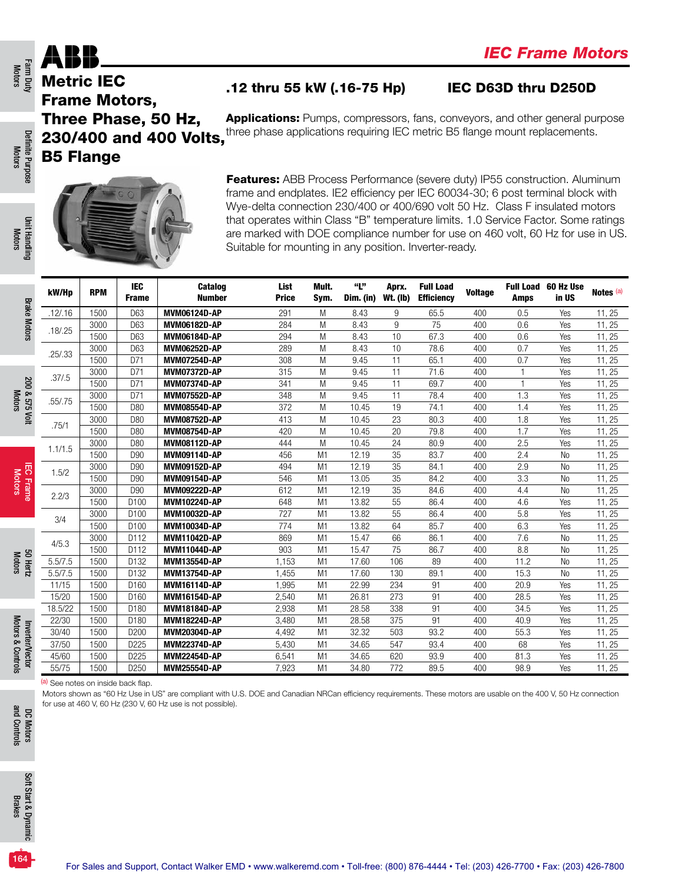### .12 thru 55 kW (.16-75 Hp) IEC D63D thru D250D

Applications: Pumps, compressors, fans, conveyors, and other general purpose three phase applications requiring IEC metric B5 flange mount replacements.

230/400 and 400 Volts, B5 Flange

**Features:** ABB Process Performance (severe duty) IP55 construction. Aluminum frame and endplates. IE2 efficiency per IEC 60034-30; 6 post terminal block with Wye-delta connection 230/400 or 400/690 volt 50 Hz. Class F insulated motors that operates within Class "B" temperature limits. 1.0 Service Factor. Some ratings are marked with DOE compliance number for use on 460 volt, 60 Hz for use in US. Suitable for mounting in any position. Inverter-ready.

 $k$ W/H<sub>D</sub> RPM  $\vert$   $\vert$  EC Frame Catalog Number List Price Mult. Sym. "L" Dim. (in) Aprx. Wt. (lb) Full Load **Efficiency** Voltage Amps Full Load 60 Hz Use  $\frac{1}{2}$  nz use Notes (a) .12/.16 | 1500 | D63 |**MVM06124D-AP** 291 M 8.43 9 65.5 400 0.5 Yes 11, 25 .18/.25 <sup>3000</sup> D63 MVM06182D-AP <sup>284</sup> <sup>M</sup> 8.43 <sup>9</sup> <sup>75</sup> <sup>400</sup> 0.6 Yes 11, 25 1500 D63 MVM06184D-AP 294 M 8.43 10 67.3 400 0.6 Yes 11, 25  $25/33$  3000 D63 MVM06252D-AP 289 M 8.43 10 78.6 400 0.7 Yes 11, 25 1500 D71 **MVM07254D-AP** 308 M 9.45 11 65.1 400 0.7 Yes 11, 25 .37/.5 3000 D71 MVM07372D-AP 315 M 9.45 11 71.6 400 1 Yes 11, 25<br>37/.5 3500 D71 MUM07372D-AP 315 M 9.45 11 71.6 400 1 Yes 11, 25 1500 D71 | MVM07374D-AP 341 M 9.45 11 69.7 400 1 Yes 11, 25 .55/.75 <sup>3000</sup> D71 MVM07552D-AP <sup>348</sup> <sup>M</sup> 9.45 <sup>11</sup> 78.4 <sup>400</sup> 1.3 Yes 11, 25 1500 D80 MVM08554D-AP 372 M 10.45 19 74.1 400 1.4 Yes 11, 25 .75/1 <sup>3000</sup> D80 MVM08752D-AP <sup>413</sup> <sup>M</sup> 10.45 <sup>23</sup> 80.3 <sup>400</sup> 1.8 Yes 11, 25 1500 | D80 | MVM08754D-AP 420 M 10.45 20 79.8 400 1.7 Yes 11, 25 1.1/1.5 <sup>3000</sup> D80 MVM08112D-AP <sup>444</sup> <sup>M</sup> 10.45 <sup>24</sup> 80.9 <sup>400</sup> 2.5 Yes 11, 25 1500 | D90 | MVM09114D-AP 456 M1 12.19 35 83.7 400 2.4 No 11, 25 1.5/2 <sup>3000</sup> D90 MVM09152D-AP <sup>494</sup> M1 12.19 <sup>35</sup> 84.1 <sup>400</sup> 2.9 No 11, 25 1500 | D90 | MVM09154D-AP 546 M1 13.05 35 84.2 400 3.3 No 11, 25 2.2/3 3000 D90 **MVM09222D-AP** 612 M1 12.19 35 84.6 400 4.4 No 11, 25<br>2.2/3 1500 D100 **MVM10004D-AD** 640 M1 12.00 FF 06.4 400 4.5 Vec 11.05 1500 D100 MVM10224D-AP 648 M1 13.82 55 86.4 400 4.6 Yes 11, 25 3/4 <sup>3000</sup> D100 MVM10032D-AP <sup>727</sup> M1 13.82 <sup>55</sup> 86.4 <sup>400</sup> 5.8 Yes 11, 25 1500 | D100 | MVM10034D-AP 774 M1 13.82 64 85.7 400 6.3 Yes 11, 25 4/5.3 <sup>3000</sup> D112 MVM11042D-AP <sup>869</sup> M1 15.47 <sup>66</sup> 86.1 <sup>400</sup> 7.6 No 11, 25 1500 D112 MVM11044D-AP 903 M1 15.47 75 86.7 400 8.8 No 11, 25 5.5/7.5 | 1500 | D132 | **MVM13554D-AP** 1,153 M1 17.60 106 89 400 11.2 No 11,25 5.5/7.5 | 1500 | D132 | **MVM13754D-AP** 1,455 M1 17.60 130 89.1 400 15.3 No 11,25 11/15 | 1500 | D160 | **MVM16114D-AP** 1,995 M1 22.99 234 91 400 20.9 Yes 11, 25 15/20 | 1500 | D160 | **MVM16154D-AP** 2,540 M1 26.81 273 91 400 28.5 Yes 11, 25 18.5/22 | 1500 | **D**180 | **MVM18184D-AP** 2,938 M1 28.58 338 91 400 34.5 Yes 11, 25 22/30 | 1500 | D180 | **MVM18224D-AP** 3,480 M1 28.58 375 91 400 40.9 Yes 11, 25 30/40 | 1500 | D200 | **MVM20304D-AP** 4,492 M1 32.32 503 93.2 400 55.3 Yes 11, 25 37/50 | 1500 | D225 | **MVM22374D-AP** 5,430 M1 34.65 547 93.4 400 68 Yes 11, 25 45/60 1500 D225 MVM22454D-AP 6,541 M1 34.65 620 93.9 400 81.3 Yes 11, 25 55/75 | 1500 | **D**250 | **MVM25554D-AP** 7,923 M1 34.80 772 89.5 400 98.9 Yes 11, 25

(a) See notes on inside back flap.

Motors shown as "60 Hz Use in US" are compliant with U.S. DOE and Canadian NRCan efficiency requirements. These motors are usable on the 400 V, 50 Hz connection for use at 460 V, 60 Hz (230 V, 60 Hz use is not possible).

164



Metric IEC

Definite Purpose Definite Purpose Motors

Farm Duty<br>Motors

Motors & Controls Motors & Controls Inverter/Vector Inverter/Vector

Motors 50 Hertz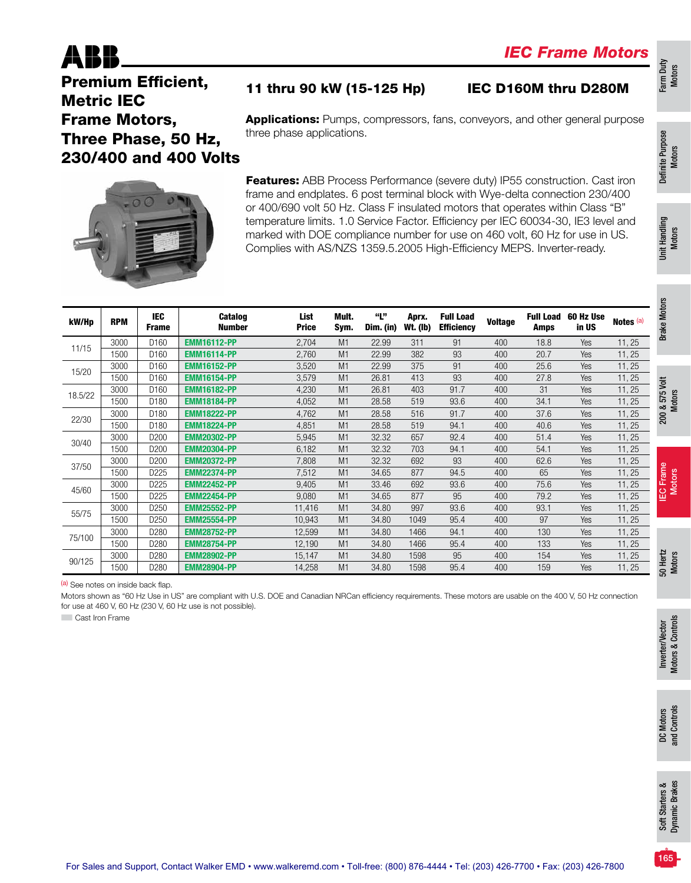### 11 thru 90 kW (15-125 Hp) IEC D160M thru D280M

Premium Efficient, Metric IEC Frame Motors, Three Phase, 50 Hz, 230/400 and 400 Volts

Applications: Pumps, compressors, fans, conveyors, and other general purpose three phase applications.

Features: ABB Process Performance (severe duty) IP55 construction. Cast iron frame and endplates. 6 post terminal block with Wye-delta connection 230/400 or 400/690 volt 50 Hz. Class F insulated motors that operates within Class "B" temperature limits. 1.0 Service Factor. Efficiency per IEC 60034-30, IE3 level and marked with DOE compliance number for use on 460 volt, 60 Hz for use in US. Complies with AS/NZS 1359.5.2005 High-Efficiency MEPS. Inverter-ready.

| kW/Hp   | <b>RPM</b> | <b>IEC</b><br><b>Frame</b> | <b>Catalog</b><br><b>Number</b> | List<br><b>Price</b> | Mult.<br>Sym. | "Ľ"<br>Dim. (in) | Aprx.<br><b>Wt. (lb)</b> | <b>Full Load</b><br><b>Efficiency</b> | <b>Voltage</b> | <b>Full Load</b><br><b>Amps</b> | 60 Hz Use<br>in US | Notes (a) |
|---------|------------|----------------------------|---------------------------------|----------------------|---------------|------------------|--------------------------|---------------------------------------|----------------|---------------------------------|--------------------|-----------|
|         | 3000       | D <sub>160</sub>           | <b>EMM16112-PP</b>              | 2,704                | M1            | 22.99            | 311                      | 91                                    | 400            | 18.8                            | Yes                | 11, 25    |
| 11/15   | 1500       | D160                       | <b>EMM16114-PP</b>              | 2,760                | M1            | 22.99            | 382                      | 93                                    | 400            | 20.7                            | Yes                | 11, 25    |
| 15/20   | 3000       | D <sub>160</sub>           | <b>EMM16152-PP</b>              | 3,520                | M1            | 22.99            | 375                      | 91                                    | 400            | 25.6                            | <b>Yes</b>         | 11, 25    |
|         | 1500       | D <sub>160</sub>           | <b>EMM16154-PP</b>              | 3,579                | M1            | 26.81            | 413                      | 93                                    | 400            | 27.8                            | Yes                | 11, 25    |
| 18.5/22 | 3000       | D160                       | <b>EMM16182-PP</b>              | 4,230                | M1            | 26.81            | 403                      | 91.7                                  | 400            | 31                              | Yes                | 11, 25    |
|         | 1500       | D <sub>180</sub>           | <b>EMM18184-PP</b>              | 4,052                | M1            | 28.58            | 519                      | 93.6                                  | 400            | 34.1                            | <b>Yes</b>         | 11, 25    |
| 22/30   | 3000       | D <sub>180</sub>           | <b>EMM18222-PP</b>              | 4,762                | M1            | 28.58            | 516                      | 91.7                                  | 400            | 37.6                            | Yes                | 11, 25    |
|         | 1500       | D180                       | <b>EMM18224-PP</b>              | 4,851                | M1            | 28.58            | 519                      | 94.1                                  | 400            | 40.6                            | Yes                | 11, 25    |
| 30/40   | 3000       | D <sub>200</sub>           | <b>EMM20302-PP</b>              | 5,945                | M1            | 32.32            | 657                      | 92.4                                  | 400            | 51.4                            | <b>Yes</b>         | 11, 25    |
|         | 1500       | D <sub>200</sub>           | <b>EMM20304-PP</b>              | 6,182                | M1            | 32.32            | 703                      | 94.1                                  | 400            | 54.1                            | Yes                | 11, 25    |
| 37/50   | 3000       | D200                       | <b>EMM20372-PP</b>              | 7,808                | M1            | 32.32            | 692                      | 93                                    | 400            | 62.6                            | Yes                | 11, 25    |
|         | 1500       | D225                       | <b>EMM22374-PP</b>              | 7,512                | M1            | 34.65            | 877                      | 94.5                                  | 400            | 65                              | <b>Yes</b>         | 11, 25    |
| 45/60   | 3000       | D <sub>225</sub>           | <b>EMM22452-PP</b>              | 9,405                | M1            | 33.46            | 692                      | 93.6                                  | 400            | 75.6                            | Yes                | 11, 25    |
|         | 1500       | D225                       | <b>EMM22454-PP</b>              | 9,080                | M1            | 34.65            | 877                      | 95                                    | 400            | 79.2                            | Yes                | 11, 25    |
| 55/75   | 3000       | D <sub>250</sub>           | <b>EMM25552-PP</b>              | 11,416               | M1            | 34.80            | 997                      | 93.6                                  | 400            | 93.1                            | Yes                | 11, 25    |
|         | 1500       | D250                       | <b>EMM25554-PP</b>              | 10,943               | M1            | 34.80            | 1049                     | 95.4                                  | 400            | 97                              | Yes                | 11, 25    |
| 75/100  | 3000       | D <sub>280</sub>           | <b>EMM28752-PP</b>              | 12,599               | M1            | 34.80            | 1466                     | 94.1                                  | 400            | 130                             | Yes                | 11, 25    |
|         | 1500       | D <sub>280</sub>           | <b>EMM28754-PP</b>              | 12,190               | M1            | 34.80            | 1466                     | 95.4                                  | 400            | 133                             | Yes                | 11, 25    |
| 90/125  | 3000       | D280                       | <b>EMM28902-PP</b>              | 15,147               | M1            | 34.80            | 1598                     | 95                                    | 400            | 154                             | Yes                | 11, 25    |
|         | 1500       | D280                       | <b>EMM28904-PP</b>              | 14,258               | M1            | 34.80            | 1598                     | 95.4                                  | 400            | 159                             | Yes                | 11, 25    |

(a) See notes on inside back flap.

Motors shown as "60 Hz Use in US" are compliant with U.S. DOE and Canadian NRCan efficiency requirements. These motors are usable on the 400 V, 50 Hz connection for use at 460 V, 60 Hz (230 V, 60 Hz use is not possible).

**Cast Iron Frame** 

Farm Duty Motors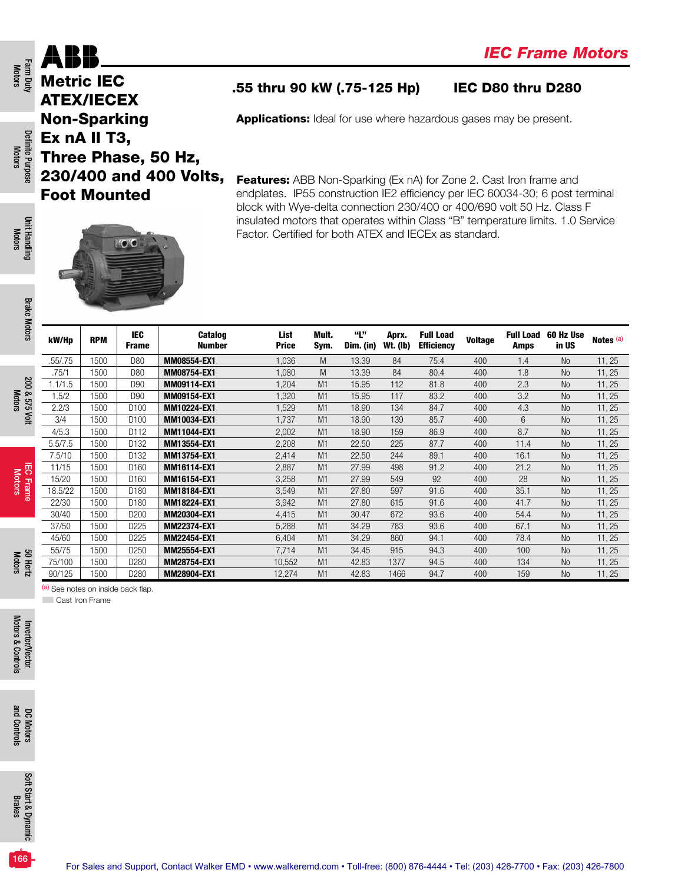### ABH Metric IEC ATEX/IECEX

Non-Sparking Ex nA II T3,

Foot Mounted

Farm Duty<br>Motors

Definite Purpose Motors

Definite Purpose

Unit Handling Motors

**Unit Handling** 

Brake Motors

**Brake Motors** 

200 & 575 Volt Motors

200 & 575 Volt

IEC Frame Motors

### .55 thru 90 kW (.75-125 Hp) IEC D80 thru D280

Applications: Ideal for use where hazardous gases may be present.

Features: ABB Non-Sparking (Ex nA) for Zone 2. Cast Iron frame and endplates. IP55 construction IE2 efficiency per IEC 60034-30; 6 post terminal block with Wye-delta connection 230/400 or 400/690 volt 50 Hz. Class F insulated motors that operates within Class "B" temperature limits. 1.0 Service Factor. Certified for both ATEX and IECEx as standard.



Three Phase, 50 Hz,

230/400 and 400 Volts,

| kW/Hp   | <b>RPM</b> | IEC.<br><b>Frame</b> | <b>Catalog</b><br><b>Number</b> | List<br><b>Price</b> | Mult.<br>Sym.  | "L"<br>Dim. (in) | Aprx.<br>Wt. (Ib) | <b>Full Load</b><br><b>Efficiency</b> | <b>Voltage</b> | <b>Full Load</b><br><b>Amps</b> | 60 Hz Use<br>in US | Notes <sup>(a)</sup> |
|---------|------------|----------------------|---------------------------------|----------------------|----------------|------------------|-------------------|---------------------------------------|----------------|---------------------------------|--------------------|----------------------|
| .55/.75 | 1500       | D80                  | MM08554-EX1                     | 1,036                | M              | 13.39            | 84                | 75.4                                  | 400            | 1.4                             | N <sub>o</sub>     | 11, 25               |
| .75/1   | 1500       | D80                  | MM08754-EX1                     | ,080                 | M              | 13.39            | 84                | 80.4                                  | 400            | 1.8                             | <b>No</b>          | 11, 25               |
| 1.1/1.5 | 1500       | D90                  | MM09114-EX1                     | ,204                 | M1             | 15.95            | 112               | 81.8                                  | 400            | 2.3                             | <b>No</b>          | 11, 25               |
| 1.5/2   | 1500       | D90                  | MM09154-EX1                     | ,320                 | M <sub>1</sub> | 15.95            | 117               | 83.2                                  | 400            | 3.2                             | <b>No</b>          | 11, 25               |
| 2.2/3   | 1500       | D <sub>100</sub>     | MM10224-EX1                     | ,529                 | M1             | 18.90            | 134               | 84.7                                  | 400            | 4.3                             | <b>No</b>          | 11, 25               |
| 3/4     | 1500       | D <sub>100</sub>     | MM10034-EX1                     | 1,737                | M1             | 18.90            | 139               | 85.7                                  | 400            | 6                               | <b>No</b>          | 11, 25               |
| 4/5.3   | 1500       | D112                 | MM11044-EX1                     | 2,002                | M1             | 18.90            | 159               | 86.9                                  | 400            | 8.7                             | <b>No</b>          | 11, 25               |
| 5.5/7.5 | 1500       | D <sub>132</sub>     | MM13554-EX1                     | 2,208                | M <sub>1</sub> | 22.50            | 225               | 87.7                                  | 400            | 11.4                            | <b>No</b>          | 11, 25               |
| 7.5/10  | 1500       | D132                 | MM13754-EX1                     | 2,414                | M1             | 22.50            | 244               | 89.1                                  | 400            | 16.1                            | <b>No</b>          | 11, 25               |
| 11/15   | 1500       | D <sub>160</sub>     | <b>MM16114-EX1</b>              | 2,887                | M1             | 27.99            | 498               | 91.2                                  | 400            | 21.2                            | <b>No</b>          | 11, 25               |
| 15/20   | 1500       | D <sub>160</sub>     | MM16154-EX1                     | 3,258                | M1             | 27.99            | 549               | 92                                    | 400            | 28                              | <b>No</b>          | 11, 25               |
| 18.5/22 | 1500       | D <sub>180</sub>     | MM18184-EX1                     | 3,549                | M1             | 27.80            | 597               | 91.6                                  | 400            | 35.1                            | <b>No</b>          | 11, 25               |
| 22/30   | 1500       | D <sub>180</sub>     | MM18224-EX1                     | 3,942                | M1             | 27.80            | 615               | 91.6                                  | 400            | 41.7                            | <b>No</b>          | 11, 25               |
| 30/40   | 1500       | D <sub>200</sub>     | MM20304-EX1                     | 4,415                | M1             | 30.47            | 672               | 93.6                                  | 400            | 54.4                            | <b>No</b>          | 11, 25               |
| 37/50   | 1500       | D225                 | MM22374-EX1                     | 5,288                | M1             | 34.29            | 783               | 93.6                                  | 400            | 67.1                            | <b>No</b>          | 11, 25               |
| 45/60   | 1500       | D <sub>225</sub>     | MM22454-EX1                     | 6,404                | M1             | 34.29            | 860               | 94.1                                  | 400            | 78.4                            | <b>No</b>          | 11, 25               |
| 55/75   | 1500       | D <sub>250</sub>     | MM25554-EX1                     | 7,714                | M1             | 34.45            | 915               | 94.3                                  | 400            | 100                             | <b>No</b>          | 11, 25               |
| 75/100  | 1500       | D <sub>280</sub>     | MM28754-EX1                     | 10,552               | M1             | 42.83            | 1377              | 94.5                                  | 400            | 134                             | <b>No</b>          | 11, 25               |
| 90/125  | 1500       | D <sub>280</sub>     | MM28904-EX1                     | 12,274               | M1             | 42.83            | 1466              | 94.7                                  | 400            | 159                             | <b>No</b>          | 11, 25               |

(a) See notes on inside back flap.

**Cast Iron Frame** 

Motors 50 Hertz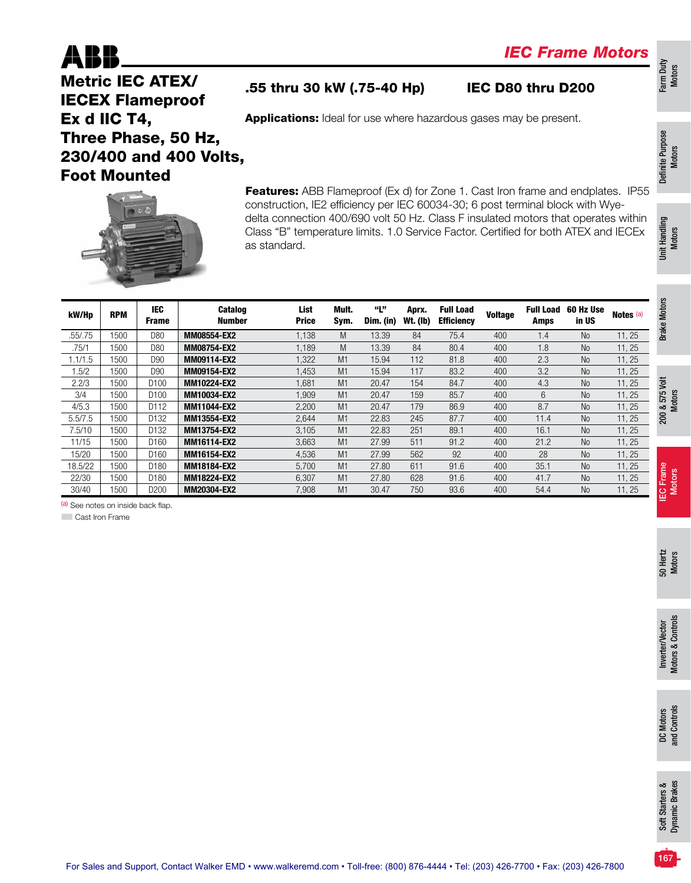

### .55 thru 30 kW (.75-40 Hp) IEC D80 thru D200

Applications: Ideal for use where hazardous gases may be present.

Metric IEC ATEX/ IECEX Flameproof Ex d IIC T4, Three Phase, 50 Hz, 230/400 and 400 Volts, Foot Mounted

Definite Purpose Definite Purpose<br>Motors

Unit Handling Unit Handling<br>Motors

Farm Duty Motors



Features: ABB Flameproof (Ex d) for Zone 1. Cast Iron frame and endplates. IP55 construction, IE2 efficiency per IEC 60034-30; 6 post terminal block with Wyedelta connection 400/690 volt 50 Hz. Class F insulated motors that operates within Class "B" temperature limits. 1.0 Service Factor. Certified for both ATEX and IECEx as standard.

| kW/Hp   | <b>RPM</b> | <b>IEC</b><br><b>Frame</b> | Catalog<br><b>Number</b> | List<br><b>Price</b> | Mult.<br>Sym. | "L"<br>Dim. (in) | Aprx.<br><b>Wt. (Ib)</b> | <b>Full Load</b><br><b>Efficiency</b> | <b>Voltage</b> | <b>Full Load</b><br>Amps | 60 Hz Use<br>in US | Notes <sup>(a)</sup> | <b>Motors</b> |
|---------|------------|----------------------------|--------------------------|----------------------|---------------|------------------|--------------------------|---------------------------------------|----------------|--------------------------|--------------------|----------------------|---------------|
| .55/.75 | 1500       | D80                        | MM08554-EX2              | 1,138                | M             | 13.39            | 84                       | 75.4                                  | 400            | 1.4                      | <b>No</b>          | 11, 25               | <b>Brake</b>  |
| .75/1   | 1500       | D80                        | MM08754-EX2              | 1.189                | M             | 13.39            | 84                       | 80.4                                  | 400            | 1.8                      | <b>No</b>          | 11, 25               |               |
| 1.1/1.5 | 1500       | D90                        | MM09114-EX2              | 1,322                | M1            | 15.94            | 112                      | 81.8                                  | 400            | 2.3                      | <b>No</b>          | 11, 25               |               |
| .5/2    | 1500       | D90                        | MM09154-EX2              | 1,453                | M1            | 15.94            | 117                      | 83.2                                  | 400            | 3.2                      | <b>No</b>          | 11, 25               |               |
| 2.2/3   | 1500       | D100                       | MM10224-EX2              | 1,681                | M1            | 20.47            | 154                      | 84.7                                  | 400            | 4.3                      | N <sub>o</sub>     | 11, 25               |               |
| 3/4     | 1500       | D100                       | MM10034-EX2              | 1.909                | M1            | 20.47            | 159                      | 85.7                                  | 400            | 6                        | <b>No</b>          | 11, 25               | 575 Volt      |
| 4/5.3   | 1500       | D112                       | MM11044-EX2              | 2,200                | M1            | 20.47            | 179                      | 86.9                                  | 400            | 8.7                      | <b>No</b>          | 11, 25               | త             |
| 5.5/7.5 | 1500       | D132                       | MM13554-EX2              | 2.644                | M1            | 22.83            | 245                      | 87.7                                  | 400            | 11.4                     | <b>No</b>          | 11, 25               | 200           |
| 7.5/10  | 1500       | D132                       | MM13754-EX2              | 3.105                | M1            | 22.83            | 251                      | 89.1                                  | 400            | 16.1                     | <b>No</b>          | 11, 25               |               |
| 11/15   | 1500       | D160                       | MM16114-EX2              | 3,663                | M1            | 27.99            | 511                      | 91.2                                  | 400            | 21.2                     | <b>No</b>          | 11, 25               |               |
| 15/20   | 1500       | D160                       | MM16154-EX2              | 4,536                | M1            | 27.99            | 562                      | 92                                    | 400            | 28                       | N <sub>o</sub>     | 11, 25               |               |
| 18.5/22 | 1500       | D180                       | MM18184-EX2              | 5,700                | M1            | 27.80            | 611                      | 91.6                                  | 400            | 35.1                     | N <sub>o</sub>     | 11, 25               |               |
| 22/30   | 1500       | D180                       | MM18224-EX2              | 6.307                | M1            | 27.80            | 628                      | 91.6                                  | 400            | 41.7                     | <b>No</b>          | 11, 25               | Frame         |
| 30/40   | 1500       | D200                       | MM20304-EX2              | 7,908                | M1            | 30.47            | 750                      | 93.6                                  | 400            | 54.4                     | <b>No</b>          | 11, 25               | 옵<br>         |
|         |            |                            |                          |                      |               |                  |                          |                                       |                |                          |                    |                      |               |

(a) See notes on inside back flap.

**Cast Iron Frame** 

Motors

Motors

DC Motors<br>and Controls and Controls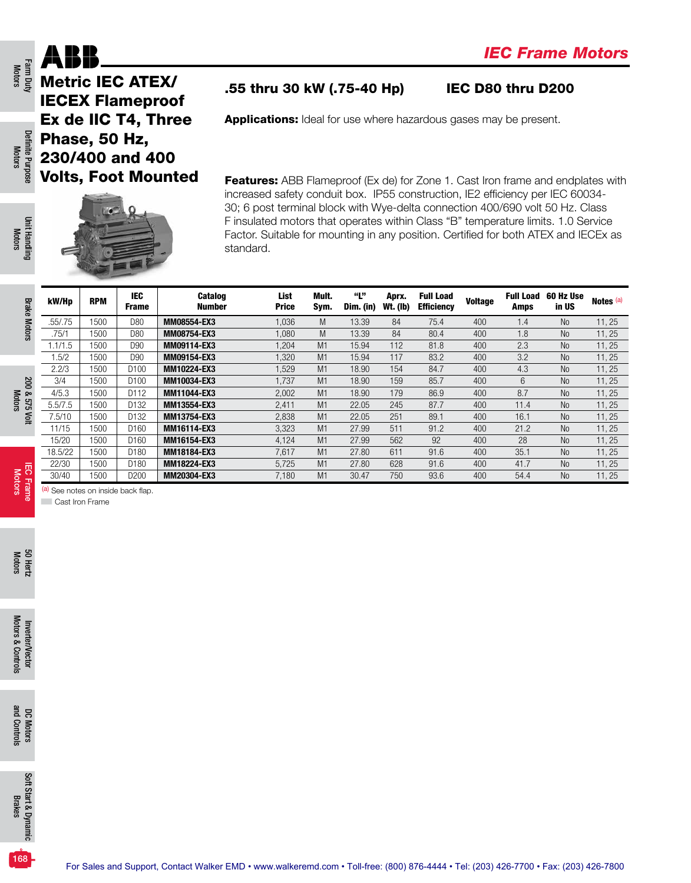Metric IEC ATEX/ IECEX Flameproof Ex de IIC T4, Three Phase, 50 Hz, 230/400 and 400 Volts, Foot Mounted



### .55 thru 30 kW (.75-40 Hp) IEC D80 thru D200

Applications: Ideal for use where hazardous gases may be present.

Features: ABB Flameproof (Ex de) for Zone 1. Cast Iron frame and endplates with increased safety conduit box. IP55 construction, IE2 efficiency per IEC 60034- 30; 6 post terminal block with Wye-delta connection 400/690 volt 50 Hz. Class F insulated motors that operates within Class "B" temperature limits. 1.0 Service Factor. Suitable for mounting in any position. Certified for both ATEX and IECEx as standard.

| kW/Hp   | <b>RPM</b> | <b>IEC</b><br><b>Frame</b> | <b>Catalog</b><br><b>Number</b> | List<br><b>Price</b> | Mult.<br>Sym.  | "Ľ"<br>Dim. (in) | Aprx.<br><b>Wt. (Ib)</b> | <b>Full Load</b><br><b>Efficiency</b> | <b>Voltage</b> | <b>Full Load</b><br><b>Amps</b> | 60 Hz Use<br>in US | Notes <sup>(a)</sup> |
|---------|------------|----------------------------|---------------------------------|----------------------|----------------|------------------|--------------------------|---------------------------------------|----------------|---------------------------------|--------------------|----------------------|
| .55/.75 | 1500       | D80                        | MM08554-EX3                     | 1,036                | M              | 13.39            | 84                       | 75.4                                  | 400            | 1.4                             | N <sub>o</sub>     | 11, 25               |
| .75/1   | 1500       | D80                        | MM08754-EX3                     | 1,080                | M              | 13.39            | 84                       | 80.4                                  | 400            | 1.8                             | N <sub>o</sub>     | 11, 25               |
| 1.1/1.5 | 1500       | D90                        | MM09114-EX3                     | 1,204                | M1             | 15.94            | 112                      | 81.8                                  | 400            | 2.3                             | N <sub>o</sub>     | 11, 25               |
| 1.5/2   | 1500       | D90                        | MM09154-EX3                     | 1,320                | M <sub>1</sub> | 15.94            | 117                      | 83.2                                  | 400            | 3.2                             | N <sub>o</sub>     | 11, 25               |
| 2.2/3   | 1500       | D <sub>100</sub>           | MM10224-EX3                     | 1,529                | M1             | 18.90            | 154                      | 84.7                                  | 400            | 4.3                             | N <sub>o</sub>     | 11, 25               |
| 3/4     | 1500       | D <sub>100</sub>           | MM10034-EX3                     | 1.737                | M <sub>1</sub> | 18.90            | 159                      | 85.7                                  | 400            | 6                               | <b>No</b>          | 11, 25               |
| 4/5.3   | 1500       | D112                       | MM11044-EX3                     | 2,002                | M <sub>1</sub> | 18.90            | 179                      | 86.9                                  | 400            | 8.7                             | N <sub>o</sub>     | 11, 25               |
| 5.5/7.5 | 1500       | D132                       | MM13554-EX3                     | 2,411                | M <sub>1</sub> | 22.05            | 245                      | 87.7                                  | 400            | 11.4                            | N <sub>o</sub>     | 11, 25               |
| 7.5/10  | 1500       | D132                       | MM13754-EX3                     | 2,838                | M1             | 22.05            | 251                      | 89.1                                  | 400            | 16.1                            | N <sub>o</sub>     | 11, 25               |
| 11/15   | 1500       | D <sub>160</sub>           | <b>MM16114-EX3</b>              | 3,323                | M1             | 27.99            | 511                      | 91.2                                  | 400            | 21.2                            | N <sub>o</sub>     | 11, 25               |
| 15/20   | 1500       | D <sub>160</sub>           | MM16154-EX3                     | 4,124                | M <sub>1</sub> | 27.99            | 562                      | 92                                    | 400            | 28                              | N <sub>o</sub>     | 11, 25               |
| 18.5/22 | 1500       | D <sub>180</sub>           | MM18184-EX3                     | 7,617                | M1             | 27.80            | 611                      | 91.6                                  | 400            | 35.1                            | N <sub>o</sub>     | 11, 25               |
| 22/30   | 1500       | D180                       | MM18224-EX3                     | 5,725                | M <sub>1</sub> | 27.80            | 628                      | 91.6                                  | 400            | 41.7                            | N <sub>o</sub>     | 11, 25               |
| 30/40   | 1500       | D <sub>200</sub>           | MM20304-EX3                     | 7,180                | M1             | 30.47            | 750                      | 93.6                                  | 400            | 54.4                            | N <sub>o</sub>     | 11, 25               |

(a) See notes on inside back flap.

**Cast Iron Frame** 

Farm Duty<br>Motors

ABI

Definite Purpose Motors

Definite Purpose

Unit Handling Unit Handling<br>Motors

Brake Motors

**Brake Motors** 

200 & 575 Volt Motors

200 & 575 Volt

IEC Frame **IEC Frame**<br>Motors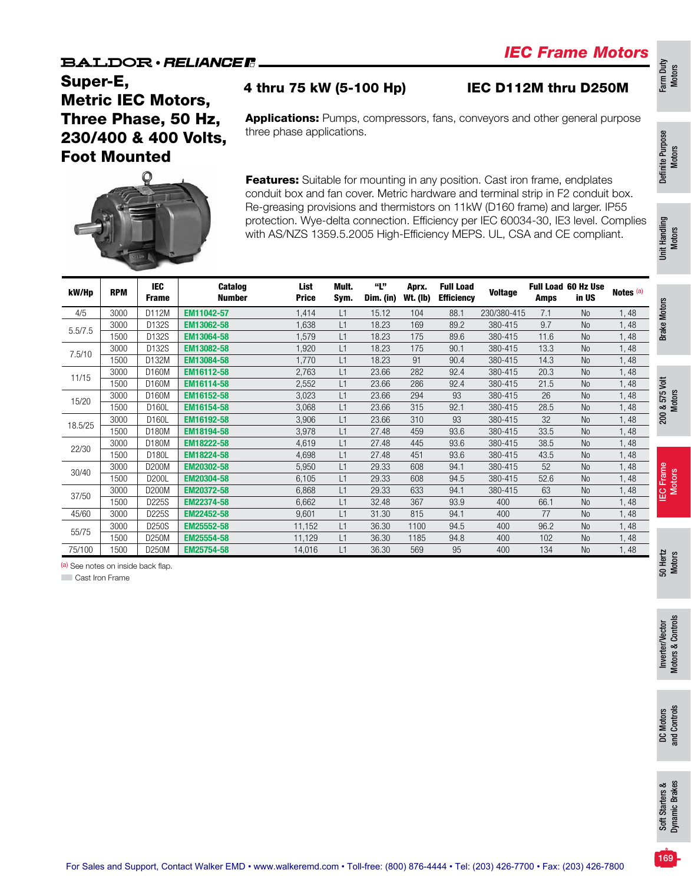### *IEC Frame Motors*

### Super-E, Metric IEC Motors, Three Phase, 50 Hz, 230/400 & 400 Volts, Foot Mounted

### 4 thru 75 kW (5-100 Hp) IEC D112M thru D250M

Applications: Pumps, compressors, fans, conveyors and other general purpose three phase applications.



Features: Suitable for mounting in any position. Cast iron frame, endplates conduit box and fan cover. Metric hardware and terminal strip in F2 conduit box. Re-greasing provisions and thermistors on 11kW (D160 frame) and larger. IP55 protection. Wye-delta connection. Efficiency per IEC 60034-30, IE3 level. Complies with AS/NZS 1359.5.2005 High-Efficiency MEPS. UL, CSA and CE compliant.

| kW/Hp   | <b>RPM</b> | <b>IEC</b><br><b>Frame</b> | <b>Catalog</b><br><b>Number</b> | List<br><b>Price</b> | Mult.<br>Sym. | "Ľ"<br>Dim. (in) | Aprx.<br><b>Wt. (Ib)</b> | <b>Full Load</b><br><b>Efficiency</b> | <b>Voltage</b> | Amps | <b>Full Load 60 Hz Use</b><br>in US | Notes <sup>(a)</sup> |
|---------|------------|----------------------------|---------------------------------|----------------------|---------------|------------------|--------------------------|---------------------------------------|----------------|------|-------------------------------------|----------------------|
| 4/5     | 3000       | D112M                      | EM11042-57                      | 1,414                | L1            | 15.12            | 104                      | 88.1                                  | 230/380-415    | 7.1  | <b>No</b>                           | 1,48                 |
| 5.5/7.5 | 3000       | D132S                      | EM13062-58                      | 1,638                | L1            | 18.23            | 169                      | 89.2                                  | 380-415        | 9.7  | <b>No</b>                           | 1,48                 |
|         | 1500       | D132S                      | EM13064-58                      | 1,579                | L1            | 18.23            | 175                      | 89.6                                  | 380-415        | 11.6 | <b>No</b>                           | 1,48                 |
| 7.5/10  | 3000       | D <sub>132</sub> S         | EM13082-58                      | 1.920                | L1            | 18.23            | 175                      | 90.1                                  | 380-415        | 13.3 | <b>No</b>                           | 1,48                 |
|         | 1500       | D132M                      | EM13084-58                      | 1.770                | L1            | 18.23            | 91                       | 90.4                                  | 380-415        | 14.3 | <b>No</b>                           | 1,48                 |
| 11/15   | 3000       | D160M                      | EM16112-58                      | 2,763                | L1            | 23.66            | 282                      | 92.4                                  | 380-415        | 20.3 | N <sub>o</sub>                      | 1,48                 |
|         | 1500       | D160M                      | EM16114-58                      | 2,552                | L1            | 23.66            | 286                      | 92.4                                  | 380-415        | 21.5 | <b>No</b>                           | 1,48                 |
|         | 3000       | D160M                      | EM16152-58                      | 3,023                | L1            | 23.66            | 294                      | 93                                    | 380-415        | 26   | <b>No</b>                           | 1,48                 |
| 15/20   | 1500       | D160L                      | EM16154-58                      | 3,068                | L1            | 23.66            | 315                      | 92.1                                  | 380-415        | 28.5 | <b>No</b>                           | 1,48                 |
|         | 3000       | D160L                      | EM16192-58                      | 3,906                | L1            | 23.66            | 310                      | 93                                    | 380-415        | 32   | <b>No</b>                           | 1,48                 |
| 18.5/25 | 1500       | D180M                      | EM18194-58                      | 3,978                | L1            | 27.48            | 459                      | 93.6                                  | 380-415        | 33.5 | <b>No</b>                           | 1,48                 |
|         | 3000       | D180M                      | EM18222-58                      | 4,619                | L1            | 27.48            | 445                      | 93.6                                  | 380-415        | 38.5 | <b>No</b>                           | 1,48                 |
| 22/30   | 1500       | D180L                      | EM18224-58                      | 4,698                | L1            | 27.48            | 451                      | 93.6                                  | 380-415        | 43.5 | <b>No</b>                           | 1,48                 |
|         | 3000       | D200M                      | EM20302-58                      | 5,950                | L1            | 29.33            | 608                      | 94.1                                  | 380-415        | 52   | <b>No</b>                           | 1,48                 |
| 30/40   | 1500       | D200L                      | EM20304-58                      | 6,105                | L1            | 29.33            | 608                      | 94.5                                  | 380-415        | 52.6 | N <sub>o</sub>                      | 1,48                 |
|         | 3000       | D200M                      | EM20372-58                      | 6,868                | L1            | 29.33            | 633                      | 94.1                                  | 380-415        | 63   | <b>No</b>                           | 1,48                 |
| 37/50   | 1500       | D225S                      | EM22374-58                      | 6,662                | L1            | 32.48            | 367                      | 93.9                                  | 400            | 66.1 | <b>No</b>                           | 1,48                 |
| 45/60   | 3000       | D225S                      | EM22452-58                      | 9,601                | L1            | 31.30            | 815                      | 94.1                                  | 400            | 77   | <b>No</b>                           | 1,48                 |
|         | 3000       | <b>D250S</b>               | EM25552-58                      | 11,152               | L1            | 36.30            | 1100                     | 94.5                                  | 400            | 96.2 | <b>No</b>                           | 1,48                 |
| 55/75   | 1500       | D250M                      | EM25554-58                      | 11,129               | L1            | 36.30            | 1185                     | 94.8                                  | 400            | 102  | <b>No</b>                           | 1,48                 |
| 75/100  | 1500       | D250M                      | EM25754-58                      | 14,016               | L1            | 36.30            | 569                      | 95                                    | 400            | 134  | <b>No</b>                           | 1,48                 |

(a) See notes on inside back flap.

**Cast Iron Frame**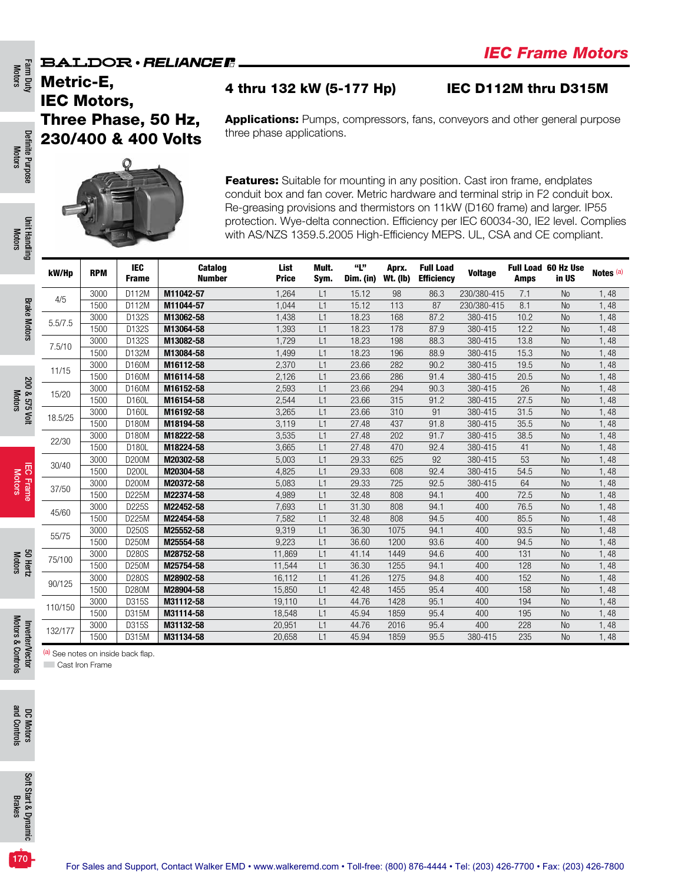Metric-E, IEC Motors, Three Phase, 50 Hz, 230/400 & 400 Volts

### 4 thru 132 kW (5-177 Hp) IEC D112M thru D315M

Applications: Pumps, compressors, fans, conveyors and other general purpose three phase applications.



Features: Suitable for mounting in any position. Cast iron frame, endplates conduit box and fan cover. Metric hardware and terminal strip in F2 conduit box. Re-greasing provisions and thermistors on 11kW (D160 frame) and larger. IP55 protection. Wye-delta connection. Efficiency per IEC 60034-30, IE2 level. Complies with AS/NZS 1359.5.2005 High-Efficiency MEPS. UL, CSA and CE compliant.

| kW/Hp   | <b>RPM</b> | <b>IEC</b><br><b>Frame</b> | Catalog<br><b>Number</b> | List<br><b>Price</b> | Mult.<br>Sym.  | "L"<br>Dim. (in) | Aprx.<br><b>Wt.</b> (lb) | <b>Full Load</b><br><b>Efficiency</b> | <b>Voltage</b> | <b>Amps</b> | <b>Full Load 60 Hz Use</b><br>in US | Notes <sup>(a)</sup> |
|---------|------------|----------------------------|--------------------------|----------------------|----------------|------------------|--------------------------|---------------------------------------|----------------|-------------|-------------------------------------|----------------------|
| 4/5     | 3000       | D112M                      | M11042-57                | 1,264                | L1             | 15.12            | 98                       | 86.3                                  | 230/380-415    | 7.1         | <b>No</b>                           | 1,48                 |
|         | 1500       | D112M                      | M11044-57                | 1,044                | L1             | 15.12            | 113                      | 87                                    | 230/380-415    | 8.1         | N <sub>o</sub>                      | 1,48                 |
| 5.5/7.5 | 3000       | D132S                      | M13062-58                | 1,438                | L1             | 18.23            | 168                      | 87.2                                  | 380-415        | 10.2        | <b>No</b>                           | 1,48                 |
|         | 1500       | D132S                      | M13064-58                | 1,393                | L1             | 18.23            | 178                      | 87.9                                  | 380-415        | 12.2        | <b>No</b>                           | 1,48                 |
| 7.5/10  | 3000       | D132S                      | M13082-58                | 1,729                | L1             | 18.23            | 198                      | 88.3                                  | 380-415        | 13.8        | N <sub>0</sub>                      | 1,48                 |
|         | 1500       | D132M                      | M13084-58                | 1,499                | L1             | 18.23            | 196                      | 88.9                                  | 380-415        | 15.3        | N <sub>0</sub>                      | 1,48                 |
| 11/15   | 3000       | D160M                      | M16112-58                | 2,370                | L1             | 23.66            | 282                      | 90.2                                  | 380-415        | 19.5        | N <sub>0</sub>                      | 1,48                 |
|         | 1500       | D160M                      | M16114-58                | 2,126                | L1             | 23.66            | 286                      | 91.4                                  | 380-415        | 20.5        | <b>No</b>                           | 1,48                 |
| 15/20   | 3000       | D160M                      | M16152-58                | 2,593                | L1             | 23.66            | 294                      | 90.3                                  | 380-415        | 26          | N <sub>0</sub>                      | 1,48                 |
|         | 1500       | D160L                      | M16154-58                | 2,544                | L1             | 23.66            | 315                      | 91.2                                  | 380-415        | 27.5        | N <sub>0</sub>                      | 1,48                 |
| 18.5/25 | 3000       | D160L                      | M16192-58                | 3,265                | L1             | 23.66            | 310                      | 91                                    | 380-415        | 31.5        | N <sub>o</sub>                      | 1,48                 |
|         | 1500       | D180M                      | M18194-58                | 3,119                | L <sub>1</sub> | 27.48            | 437                      | 91.8                                  | 380-415        | 35.5        | N <sub>0</sub>                      | 1,48                 |
| 22/30   | 3000       | D180M                      | M18222-58                | 3,535                | L1             | 27.48            | 202                      | 91.7                                  | 380-415        | 38.5        | <b>No</b>                           | 1,48                 |
|         | 1500       | D180L                      | M18224-58                | 3,665                | L1             | 27.48            | 470                      | 92.4                                  | 380-415        | 41          | <b>No</b>                           | 1,48                 |
| 30/40   | 3000       | D200M                      | M20302-58                | 5,003                | L1             | 29.33            | 625                      | 92                                    | 380-415        | 53          | N <sub>0</sub>                      | 1,48                 |
|         | 1500       | D200L                      | M20304-58                | 4,825                | L1             | 29.33            | 608                      | 92.4                                  | 380-415        | 54.5        | <b>No</b>                           | 1,48                 |
| 37/50   | 3000       | D200M                      | M20372-58                | 5,083                | L <sub>1</sub> | 29.33            | 725                      | 92.5                                  | 380-415        | 64          | N <sub>0</sub>                      | 1,48                 |
|         | 1500       | D225M                      | M22374-58                | 4,989                | L1             | 32.48            | 808                      | 94.1                                  | 400            | 72.5        | N <sub>0</sub>                      | 1,48                 |
| 45/60   | 3000       | D225S                      | M22452-58                | 7,693                | L1             | 31.30            | 808                      | 94.1                                  | 400            | 76.5        | <b>No</b>                           | 1,48                 |
|         | 1500       | D225M                      | M22454-58                | 7,582                | L1             | 32.48            | 808                      | 94.5                                  | 400            | 85.5        | N <sub>o</sub>                      | 1,48                 |
| 55/75   | 3000       | D250S                      | M25552-58                | 9,319                | L1             | 36.30            | 1075                     | 94.1                                  | 400            | 93.5        | <b>No</b>                           | 1,48                 |
|         | 1500       | D250M                      | M25554-58                | 9,223                | L1             | 36.60            | 1200                     | 93.6                                  | 400            | 94.5        | <b>No</b>                           | 1,48                 |
| 75/100  | 3000       | D280S                      | M28752-58                | 11,869               | L1             | 41.14            | 1449                     | 94.6                                  | 400            | 131         | N <sub>0</sub>                      | 1,48                 |
|         | 1500       | D250M                      | M25754-58                | 11,544               | L1             | 36.30            | 1255                     | 94.1                                  | 400            | 128         | <b>No</b>                           | 1,48                 |
| 90/125  | 3000       | D280S                      | M28902-58                | 16,112               | L1             | 41.26            | 1275                     | 94.8                                  | 400            | 152         | N <sub>o</sub>                      | 1,48                 |
|         | 1500       | D280M                      | M28904-58                | 15,850               | L1             | 42.48            | 1455                     | 95.4                                  | 400            | 158         | <b>No</b>                           | 1,48                 |
| 110/150 | 3000       | D315S                      | M31112-58                | 19,110               | L1             | 44.76            | 1428                     | 95.1                                  | 400            | 194         | N <sub>o</sub>                      | 1,48                 |
|         | 1500       | D315M                      | M31114-58                | 18,548               | L1             | 45.94            | 1859                     | 95.4                                  | 400            | 195         | <b>No</b>                           | 1,48                 |
| 132/177 | 3000       | D315S                      | M31132-58                | 20,951               | L1             | 44.76            | 2016                     | 95.4                                  | 400            | 228         | <b>No</b>                           | 1,48                 |
|         | 1500       | D315M                      | M31134-58                | 20,658               | L1             | 45.94            | 1859                     | 95.5                                  | 380-415        | 235         | <b>No</b>                           | 1,48                 |

Definite Purpose Motors

Definite Purpose

**Cast Iron Frame** 

(a) See notes on inside back flap.